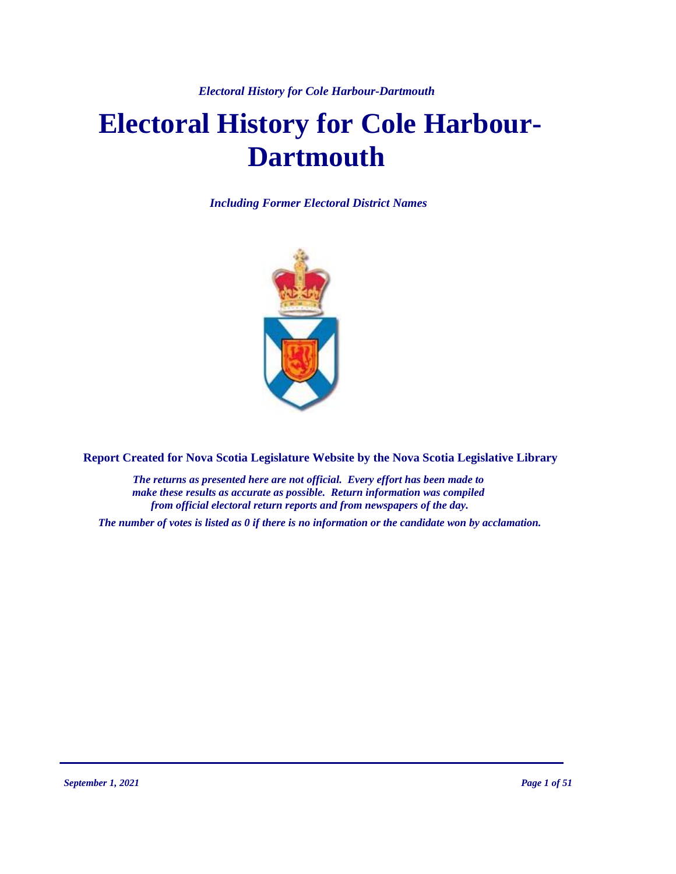*Electoral History for Cole Harbour-Dartmouth*

# **Electoral History for Cole Harbour-Dartmouth**

*Including Former Electoral District Names*



**Report Created for Nova Scotia Legislature Website by the Nova Scotia Legislative Library**

*The returns as presented here are not official. Every effort has been made to make these results as accurate as possible. Return information was compiled from official electoral return reports and from newspapers of the day.*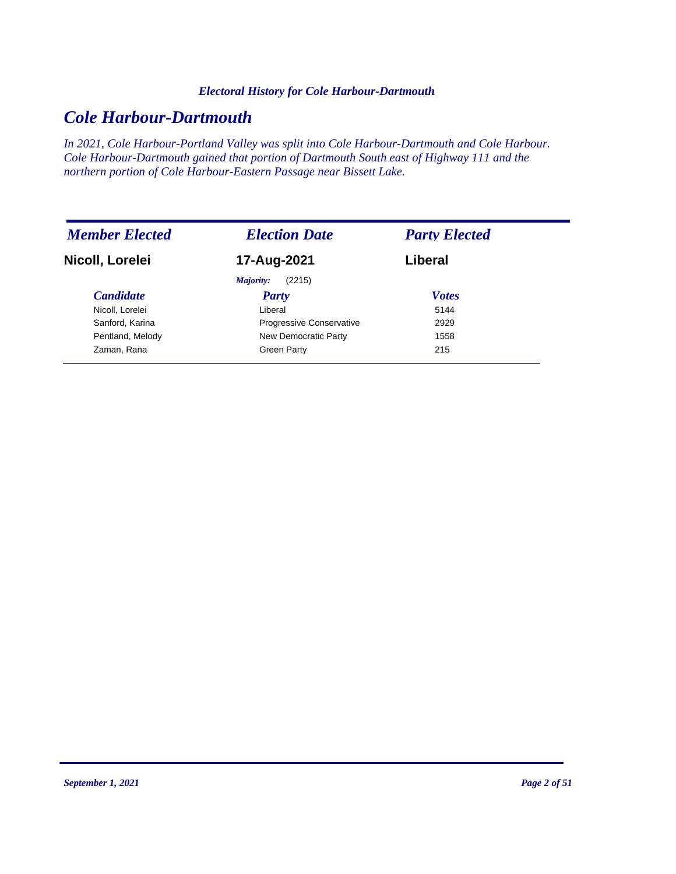#### *Electoral History for Cole Harbour-Dartmouth*

# *Cole Harbour-Dartmouth*

*In 2021, Cole Harbour-Portland Valley was split into Cole Harbour-Dartmouth and Cole Harbour. Cole Harbour-Dartmouth gained that portion of Dartmouth South east of Highway 111 and the northern portion of Cole Harbour-Eastern Passage near Bissett Lake.*

| <b>Member Elected</b> | <b>Election Date</b>            | <b>Party Elected</b> |
|-----------------------|---------------------------------|----------------------|
| Nicoll, Lorelei       | 17-Aug-2021                     | Liberal              |
|                       | (2215)<br>Majority:             |                      |
| <i>Candidate</i>      | Party                           | <b>Votes</b>         |
| Nicoll, Lorelei       | Liberal                         | 5144                 |
| Sanford, Karina       | <b>Progressive Conservative</b> | 2929                 |
| Pentland, Melody      | New Democratic Party            | 1558                 |
| Zaman, Rana           | Green Party                     | 215                  |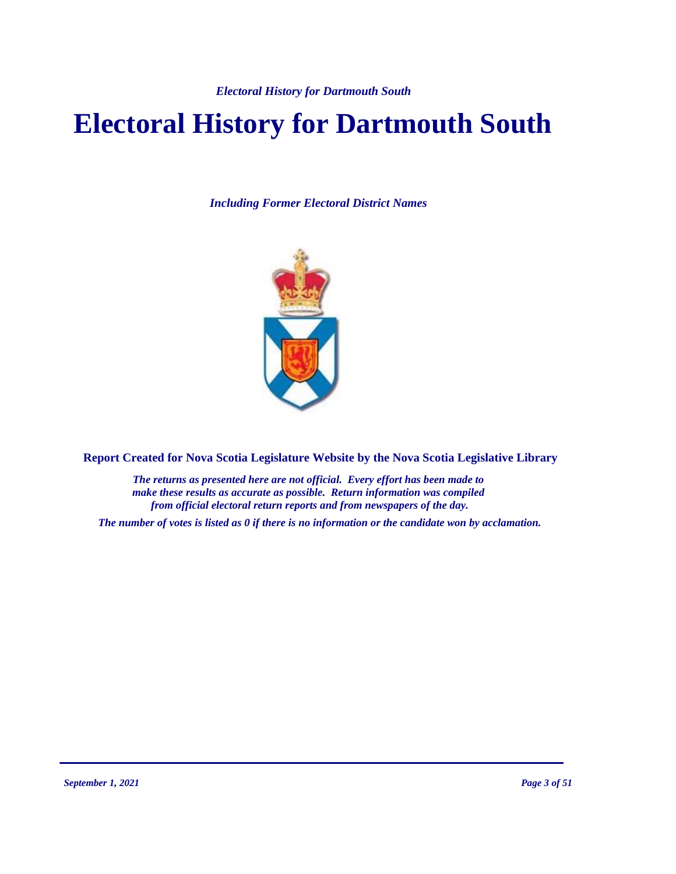# **Electoral History for Dartmouth South**

*Including Former Electoral District Names*



**Report Created for Nova Scotia Legislature Website by the Nova Scotia Legislative Library**

*The returns as presented here are not official. Every effort has been made to make these results as accurate as possible. Return information was compiled from official electoral return reports and from newspapers of the day.*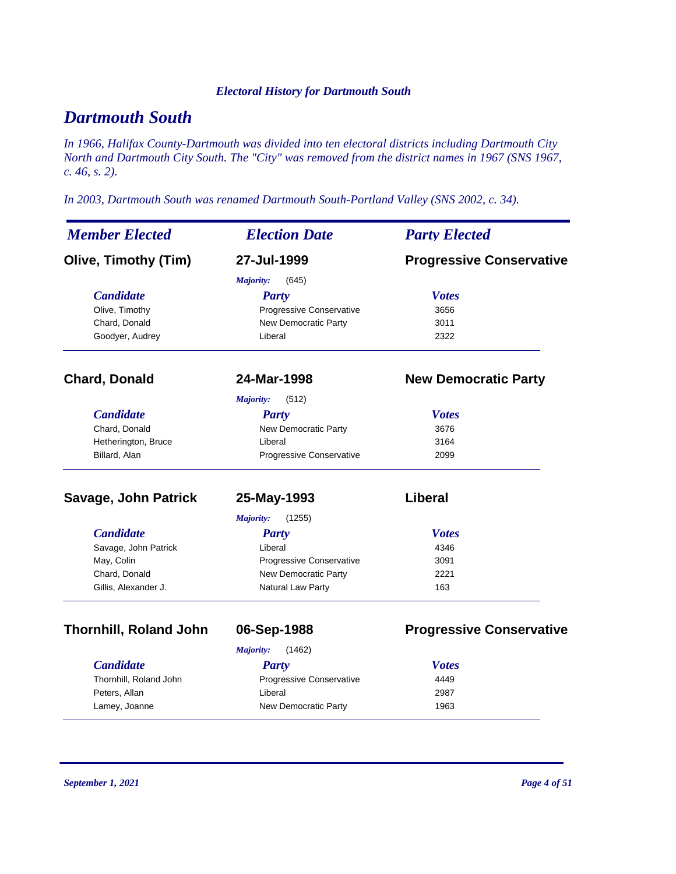# *Dartmouth South*

*In 1966, Halifax County-Dartmouth was divided into ten electoral districts including Dartmouth City North and Dartmouth City South. The "City" was removed from the district names in 1967 (SNS 1967, c. 46, s. 2).*

*In 2003, Dartmouth South was renamed Dartmouth South-Portland Valley (SNS 2002, c. 34).*

| <b>Member Elected</b>         | <b>Election Date</b>     | <b>Party Elected</b>            |
|-------------------------------|--------------------------|---------------------------------|
| <b>Olive, Timothy (Tim)</b>   | 27-Jul-1999              | <b>Progressive Conservative</b> |
|                               | (645)<br>Majority:       |                                 |
| <b>Candidate</b>              | <b>Party</b>             | <b>Votes</b>                    |
| Olive, Timothy                | Progressive Conservative | 3656                            |
| Chard, Donald                 | New Democratic Party     | 3011                            |
| Goodyer, Audrey               | Liberal                  | 2322                            |
| <b>Chard, Donald</b>          | 24-Mar-1998              | <b>New Democratic Party</b>     |
|                               | (512)<br>Majority:       |                                 |
| <b>Candidate</b>              | <b>Party</b>             | <b>Votes</b>                    |
| Chard, Donald                 | New Democratic Party     | 3676                            |
| Hetherington, Bruce           | Liberal                  | 3164                            |
| Billard, Alan                 | Progressive Conservative | 2099                            |
| Savage, John Patrick          | 25-May-1993              | <b>Liberal</b>                  |
|                               | Majority:<br>(1255)      |                                 |
| <b>Candidate</b>              | <b>Party</b>             | <b>Votes</b>                    |
| Savage, John Patrick          | Liberal                  | 4346                            |
| May, Colin                    | Progressive Conservative | 3091                            |
| Chard, Donald                 | New Democratic Party     | 2221                            |
| Gillis, Alexander J.          | Natural Law Party        | 163                             |
| <b>Thornhill, Roland John</b> | 06-Sep-1988              | <b>Progressive Conservative</b> |
|                               | (1462)<br>Majority:      |                                 |
| <b>Candidate</b>              | <b>Party</b>             | <b>Votes</b>                    |
| Thornhill, Roland John        | Progressive Conservative | 4449                            |
| Peters, Allan                 | Liberal                  | 2987                            |

Lamey, Joanne **New Democratic Party** 1963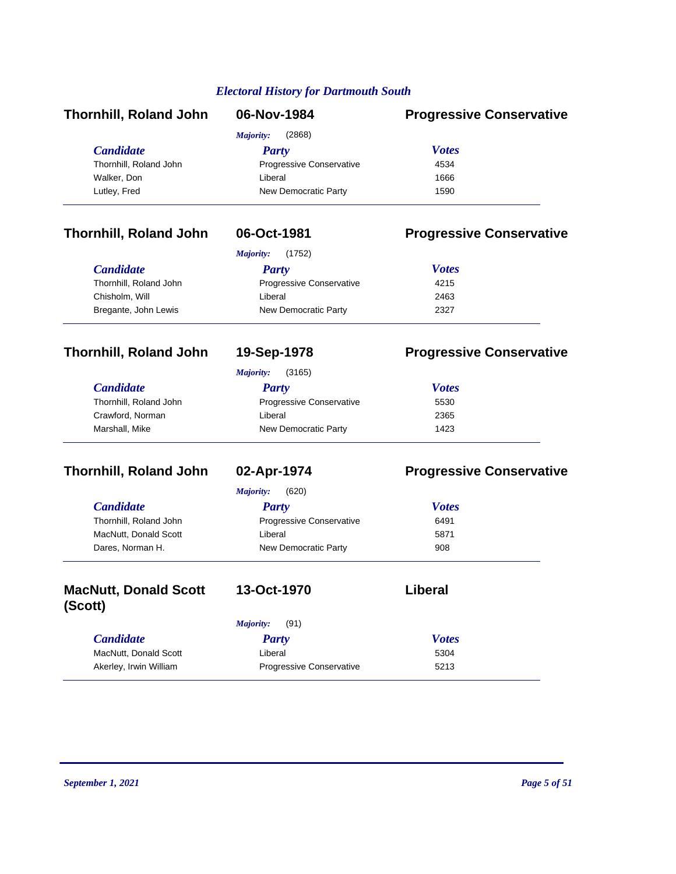| <b>Thornhill, Roland John</b> | 06-Nov-1984              | <b>Progressive Conservative</b> |
|-------------------------------|--------------------------|---------------------------------|
|                               | (2868)<br>Majority:      |                                 |
| <b>Candidate</b>              | Party                    | <b>Votes</b>                    |
| Thornhill, Roland John        | Progressive Conservative | 4534                            |
| Walker, Don                   | Liberal                  | 1666                            |
| Lutley, Fred                  | New Democratic Party     | 1590                            |

## **Thornhill, Roland John 06-Oct-1981 Progressive Conservative**

|                        | (1752)<br>Majority:             |              |  |
|------------------------|---------------------------------|--------------|--|
| <b>Candidate</b>       | Party                           | <b>Votes</b> |  |
| Thornhill, Roland John | <b>Progressive Conservative</b> | 4215         |  |
| Chisholm, Will         | Liberal                         | 2463         |  |
| Bregante, John Lewis   | New Democratic Party            | 2327         |  |

## **Thornhill, Roland John 19-Sep-1978 Progressive Conservative**

*Majority:* (3165)

| <i>Candidate</i>       | Party                           | <b>Votes</b> |
|------------------------|---------------------------------|--------------|
| Thornhill, Roland John | <b>Progressive Conservative</b> | 5530         |
| Crawford, Norman       | Liberal                         | 2365         |
| Marshall, Mike         | New Democratic Party            | 1423         |

## **Thornhill, Roland John 02-Apr-1974 Progressive Conservative**

|                        | (620)<br>Majority:              |              |
|------------------------|---------------------------------|--------------|
| <b>Candidate</b>       | Party                           | <b>Votes</b> |
| Thornhill, Roland John | <b>Progressive Conservative</b> | 6491         |
| MacNutt, Donald Scott  | Liberal                         | 5871         |
| Dares, Norman H.       | New Democratic Party            | 908          |
|                        |                                 |              |

| <b>MacNutt, Donald Scott</b><br>(Scott) | 13-Oct-1970              | Liberal      |
|-----------------------------------------|--------------------------|--------------|
|                                         | (91)<br>Majority:        |              |
| <b>Candidate</b>                        | Party                    | <b>Votes</b> |
| MacNutt, Donald Scott                   | Liberal                  | 5304         |
| Akerley, Irwin William                  | Progressive Conservative | 5213         |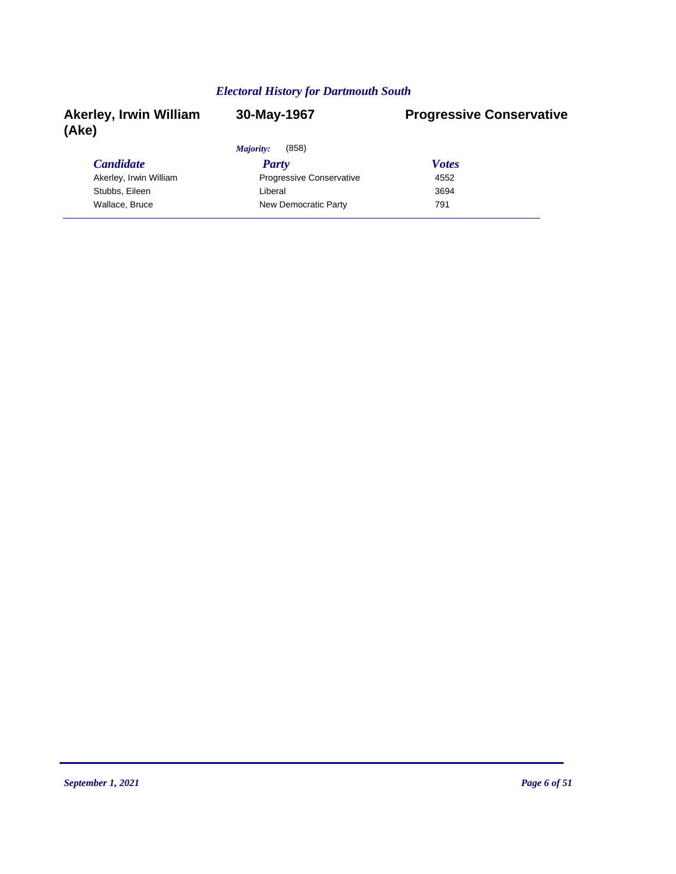| <b>Akerley, Irwin William</b><br>(Ake) | 30-May-1967                     | <b>Progressive Conservative</b> |
|----------------------------------------|---------------------------------|---------------------------------|
|                                        | (858)<br>Majority:              |                                 |
| <b>Candidate</b>                       | Party                           | <b>Votes</b>                    |
| Akerley, Irwin William                 | <b>Progressive Conservative</b> | 4552                            |
| Stubbs, Eileen                         | Liberal                         | 3694                            |
| Wallace, Bruce                         | New Democratic Party            | 791                             |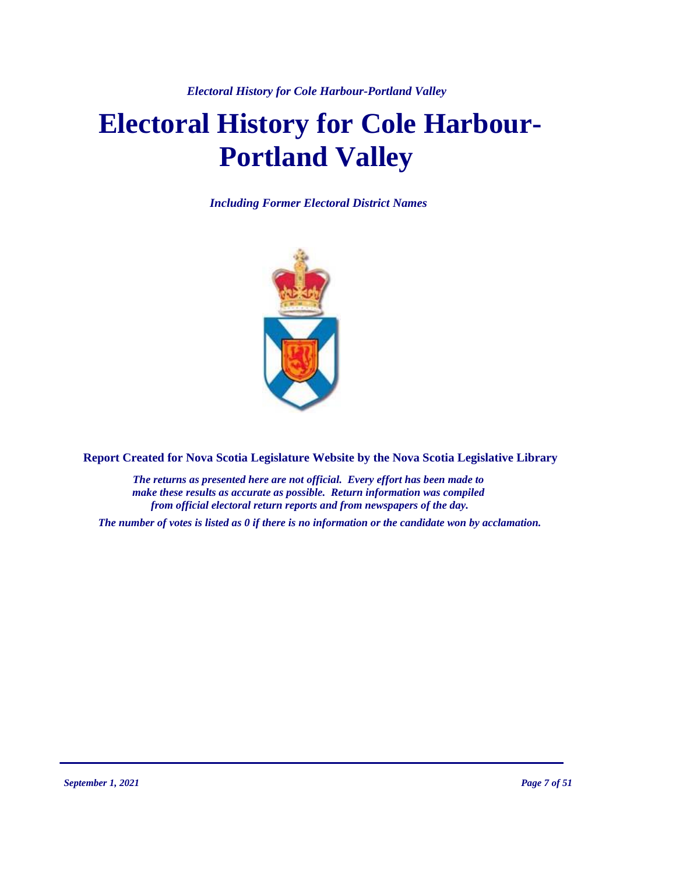*Electoral History for Cole Harbour-Portland Valley*

# **Electoral History for Cole Harbour-Portland Valley**

*Including Former Electoral District Names*



**Report Created for Nova Scotia Legislature Website by the Nova Scotia Legislative Library**

*The returns as presented here are not official. Every effort has been made to make these results as accurate as possible. Return information was compiled from official electoral return reports and from newspapers of the day.*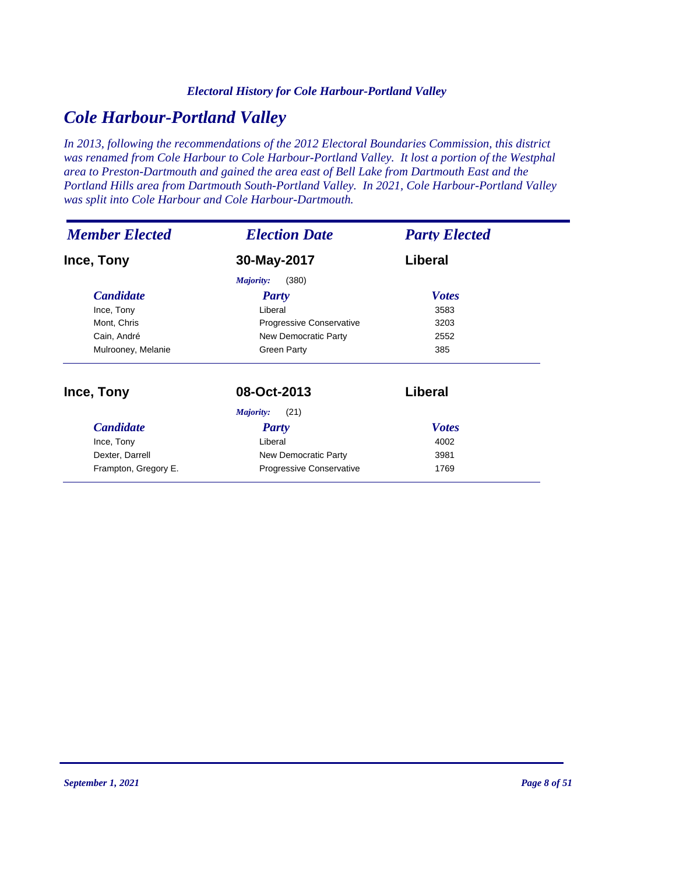#### *Electoral History for Cole Harbour-Portland Valley*

# *Cole Harbour-Portland Valley*

*In 2013, following the recommendations of the 2012 Electoral Boundaries Commission, this district was renamed from Cole Harbour to Cole Harbour-Portland Valley. It lost a portion of the Westphal area to Preston-Dartmouth and gained the area east of Bell Lake from Dartmouth East and the Portland Hills area from Dartmouth South-Portland Valley. In 2021, Cole Harbour-Portland Valley was split into Cole Harbour and Cole Harbour-Dartmouth.*

| <b>Member Elected</b> | <b>Election Date</b>     | <b>Party Elected</b> |
|-----------------------|--------------------------|----------------------|
| Ince, Tony            | 30-May-2017              | Liberal              |
|                       | (380)<br>Majority:       |                      |
| <i>Candidate</i>      | Party                    | <b>Votes</b>         |
| Ince, Tony            | Liberal                  | 3583                 |
| Mont, Chris           | Progressive Conservative | 3203                 |
| Cain, André           | New Democratic Party     | 2552                 |
| Mulrooney, Melanie    | <b>Green Party</b>       | 385                  |
| Ince, Tony            | 08-Oct-2013              | Liberal              |
|                       | (21)<br>Majority:        |                      |
| <b>Candidate</b>      | <b>Party</b>             | <b>Votes</b>         |
| Ince, Tony            | Liberal                  | 4002                 |
| Dexter, Darrell       | New Democratic Party     | 3981                 |
| Frampton, Gregory E.  | Progressive Conservative | 1769                 |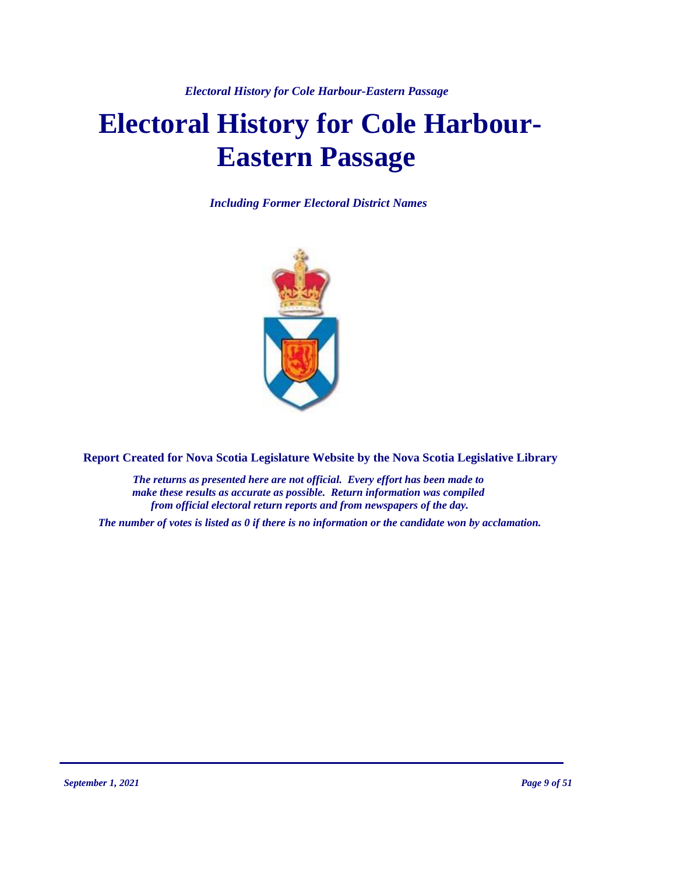# **Electoral History for Cole Harbour-Eastern Passage**

*Including Former Electoral District Names*



**Report Created for Nova Scotia Legislature Website by the Nova Scotia Legislative Library**

*The returns as presented here are not official. Every effort has been made to make these results as accurate as possible. Return information was compiled from official electoral return reports and from newspapers of the day.*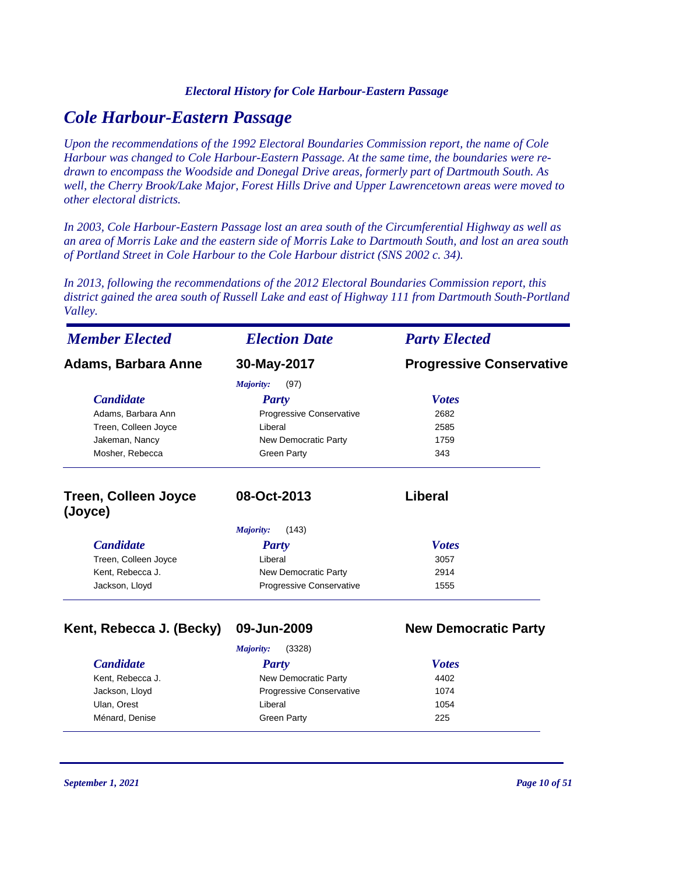## *Cole Harbour-Eastern Passage*

*Upon the recommendations of the 1992 Electoral Boundaries Commission report, the name of Cole Harbour was changed to Cole Harbour-Eastern Passage. At the same time, the boundaries were redrawn to encompass the Woodside and Donegal Drive areas, formerly part of Dartmouth South. As well, the Cherry Brook/Lake Major, Forest Hills Drive and Upper Lawrencetown areas were moved to other electoral districts.*

*In 2003, Cole Harbour-Eastern Passage lost an area south of the Circumferential Highway as well as an area of Morris Lake and the eastern side of Morris Lake to Dartmouth South, and lost an area south of Portland Street in Cole Harbour to the Cole Harbour district (SNS 2002 c. 34).*

*In 2013, following the recommendations of the 2012 Electoral Boundaries Commission report, this district gained the area south of Russell Lake and east of Highway 111 from Dartmouth South-Portland Valley.*

| <b>Member Elected</b>                  | <b>Election Date</b>            | <b>Party Elected</b>            |
|----------------------------------------|---------------------------------|---------------------------------|
| Adams, Barbara Anne                    | 30-May-2017                     | <b>Progressive Conservative</b> |
|                                        | Majority:<br>(97)               |                                 |
| <b>Candidate</b>                       | <b>Party</b>                    | <b>Votes</b>                    |
| Adams, Barbara Ann                     | <b>Progressive Conservative</b> | 2682                            |
| Treen, Colleen Joyce                   | Liberal                         | 2585                            |
| Jakeman, Nancy                         | New Democratic Party            | 1759                            |
| Mosher, Rebecca                        | <b>Green Party</b>              | 343                             |
| <b>Treen, Colleen Joyce</b><br>(Joyce) | 08-Oct-2013                     | Liberal                         |
|                                        | Majority:<br>(143)              |                                 |
| <b>Candidate</b>                       | <b>Party</b>                    | <b>Votes</b>                    |
| Treen, Colleen Joyce                   | Liberal                         | 3057                            |
| Kent, Rebecca J.                       | New Democratic Party            | 2914                            |
| Jackson, Lloyd                         | Progressive Conservative        | 1555                            |
| Kent, Rebecca J. (Becky)               | 09-Jun-2009                     | <b>New Democratic Party</b>     |
|                                        | (3328)<br>Majority:             |                                 |
| <b>Candidate</b>                       | Party                           | <b>Votes</b>                    |
| Kent, Rebecca J.                       | New Democratic Party            | 4402                            |

| Canaiaate        | rarty                           | <i>votes</i> |  |
|------------------|---------------------------------|--------------|--|
| Kent, Rebecca J. | New Democratic Party            | 4402         |  |
| Jackson, Lloyd   | <b>Progressive Conservative</b> | 1074         |  |
| Ulan, Orest      | Liberal                         | 1054         |  |
| Ménard, Denise   | Green Party                     | 225          |  |
|                  |                                 |              |  |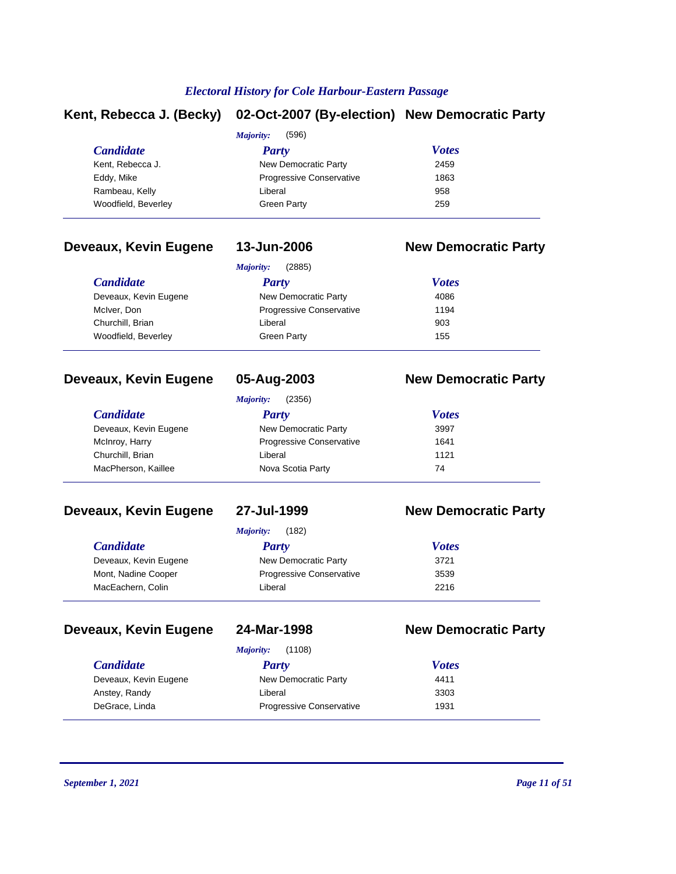## **Kent, Rebecca J. (Becky) 02-Oct-2007 (By-election) New Democratic Party**

|                     | (596)<br>Majority:              |              |  |
|---------------------|---------------------------------|--------------|--|
| <b>Candidate</b>    | Party                           | <b>Votes</b> |  |
| Kent, Rebecca J.    | New Democratic Party            | 2459         |  |
| Eddy, Mike          | <b>Progressive Conservative</b> | 1863         |  |
| Rambeau, Kelly      | Liberal                         | 958          |  |
| Woodfield, Beverley | Green Party                     | 259          |  |
|                     |                                 |              |  |

# **Deveaux, Kevin Eugene 13-Jun-2006 New Democratic Party**

| (2885)<br>Majority:             |              |  |  |
|---------------------------------|--------------|--|--|
| Party                           | <b>Votes</b> |  |  |
| New Democratic Party            | 4086         |  |  |
| <b>Progressive Conservative</b> | 1194         |  |  |
| Liberal                         | 903          |  |  |
| <b>Green Party</b>              | 155          |  |  |
|                                 |              |  |  |

### **Deveaux, Kevin Eugene 05-Aug-2003 New Democratic Party**

| (2356)<br>Majority:   |                                 |              |  |
|-----------------------|---------------------------------|--------------|--|
| <i>Candidate</i>      | Party                           | <b>Votes</b> |  |
| Deveaux, Kevin Eugene | New Democratic Party            | 3997         |  |
| McInroy, Harry        | <b>Progressive Conservative</b> | 1641         |  |
| Churchill, Brian      | Liberal                         | 1121         |  |
| MacPherson, Kaillee   | Nova Scotia Party               | 74           |  |

### **Deveaux, Kevin Eugene 27-Jul-1999 New Democratic Party**

*Majority:* (182)

| <b>Candidate</b>      | Party                           | <b>Votes</b> |  |
|-----------------------|---------------------------------|--------------|--|
| Deveaux, Kevin Eugene | New Democratic Party            | 3721         |  |
| Mont, Nadine Cooper   | <b>Progressive Conservative</b> | 3539         |  |
| MacEachern, Colin     | Liberal                         | 2216         |  |
|                       |                                 |              |  |

### **Deveaux, Kevin Eugene 24-Mar-1998 New Democratic Party**

|  |  | <b>47-11191-133</b> |  |  |
|--|--|---------------------|--|--|
|  |  |                     |  |  |
|  |  |                     |  |  |

| (1108)<br>Majority:   |                                 |              |
|-----------------------|---------------------------------|--------------|
| <i>Candidate</i>      | Party                           | <b>Votes</b> |
| Deveaux, Kevin Eugene | New Democratic Party            | 4411         |
| Anstey, Randy         | Liberal                         | 3303         |
| DeGrace, Linda        | <b>Progressive Conservative</b> | 1931         |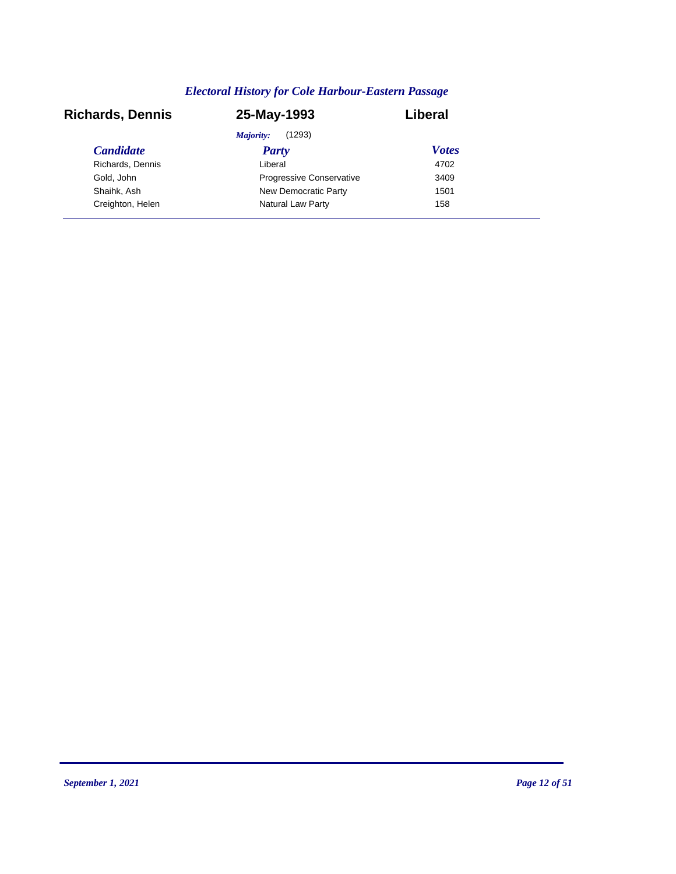| <b>Richards, Dennis</b> | 25-May-1993                     | Liberal      |
|-------------------------|---------------------------------|--------------|
|                         | (1293)<br>Majority:             |              |
| <b>Candidate</b>        | <b>Party</b>                    | <b>Votes</b> |
| Richards, Dennis        | Liberal                         | 4702         |
| Gold, John              | <b>Progressive Conservative</b> | 3409         |
| Shaihk, Ash             | New Democratic Party            | 1501         |
| Creighton, Helen        | Natural Law Party               | 158          |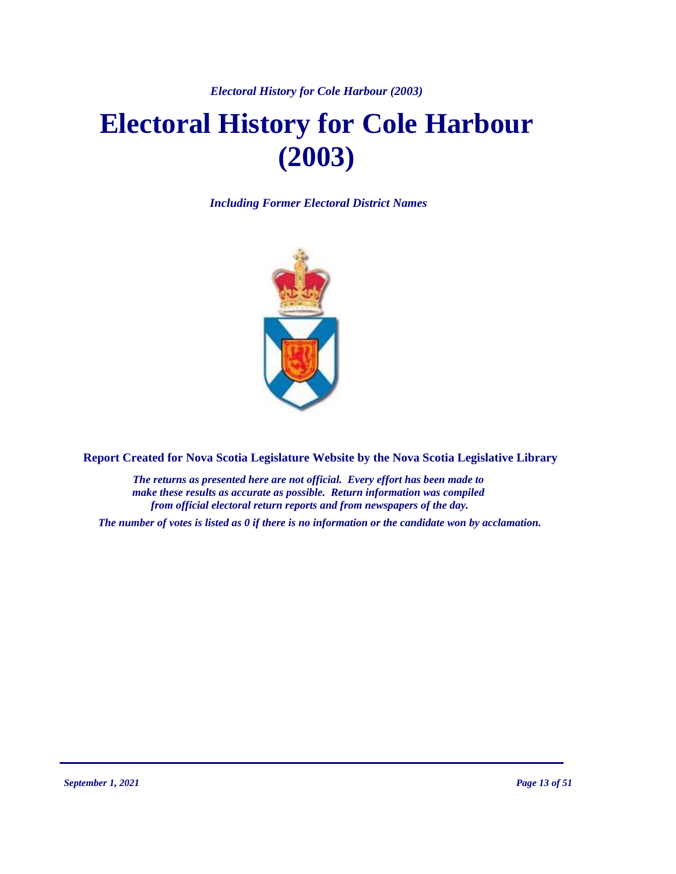*Electoral History for Cole Harbour (2003)*

# **Electoral History for Cole Harbour (2003)**

*Including Former Electoral District Names*



**Report Created for Nova Scotia Legislature Website by the Nova Scotia Legislative Library**

*The returns as presented here are not official. Every effort has been made to make these results as accurate as possible. Return information was compiled from official electoral return reports and from newspapers of the day.*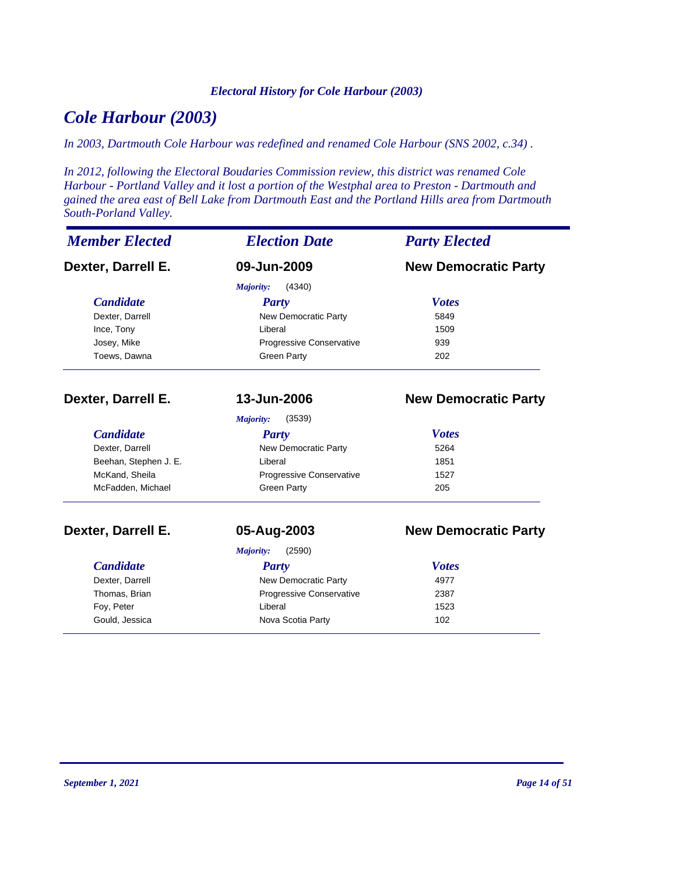#### *Electoral History for Cole Harbour (2003)*

# *Cole Harbour (2003)*

*In 2003, Dartmouth Cole Harbour was redefined and renamed Cole Harbour (SNS 2002, c.34) .*

*In 2012, following the Electoral Boudaries Commission review, this district was renamed Cole Harbour - Portland Valley and it lost a portion of the Westphal area to Preston - Dartmouth and gained the area east of Bell Lake from Dartmouth East and the Portland Hills area from Dartmouth South-Porland Valley.*

| <b>Member Elected</b> | <b>Election Date</b>        | <b>Party Elected</b>        |  |
|-----------------------|-----------------------------|-----------------------------|--|
| Dexter, Darrell E.    | 09-Jun-2009                 | <b>New Democratic Party</b> |  |
|                       | Majority:<br>(4340)         |                             |  |
| <b>Candidate</b>      | <b>Party</b>                | <b>Votes</b>                |  |
| Dexter, Darrell       | New Democratic Party        | 5849                        |  |
| Ince, Tony            | Liberal                     | 1509                        |  |
| Josey, Mike           | Progressive Conservative    | 939                         |  |
| Toews, Dawna          | <b>Green Party</b>          | 202                         |  |
| Dexter, Darrell E.    | 13-Jun-2006                 | <b>New Democratic Party</b> |  |
|                       | (3539)<br><b>Majority:</b>  |                             |  |
| <b>Candidate</b>      | <b>Party</b>                | <b>Votes</b>                |  |
| Dexter, Darrell       | <b>New Democratic Party</b> | 5264                        |  |
| Beehan, Stephen J. E. | Liberal                     | 1851                        |  |
| McKand, Sheila        | Progressive Conservative    | 1527                        |  |
| McFadden, Michael     | <b>Green Party</b>          | 205                         |  |
| Dexter, Darrell E.    | 05-Aug-2003                 | <b>New Democratic Party</b> |  |
|                       | Majority:<br>(2590)         |                             |  |
| <b>Candidate</b>      | <b>Party</b>                | <b>Votes</b>                |  |
| Dexter, Darrell       | New Democratic Party        | 4977                        |  |
| Thomas, Brian         | Progressive Conservative    | 2387                        |  |
| Foy, Peter            | Liberal                     | 1523                        |  |
| Gould, Jessica        | Nova Scotia Party           | 102                         |  |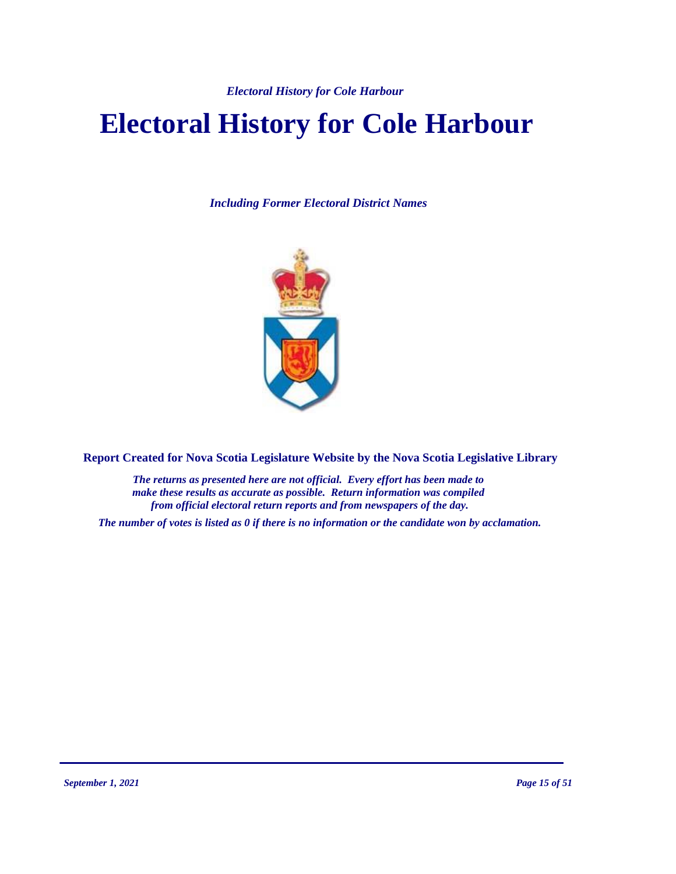*Electoral History for Cole Harbour* 

# **Electoral History for Cole Harbour**

*Including Former Electoral District Names*



**Report Created for Nova Scotia Legislature Website by the Nova Scotia Legislative Library**

*The returns as presented here are not official. Every effort has been made to make these results as accurate as possible. Return information was compiled from official electoral return reports and from newspapers of the day.*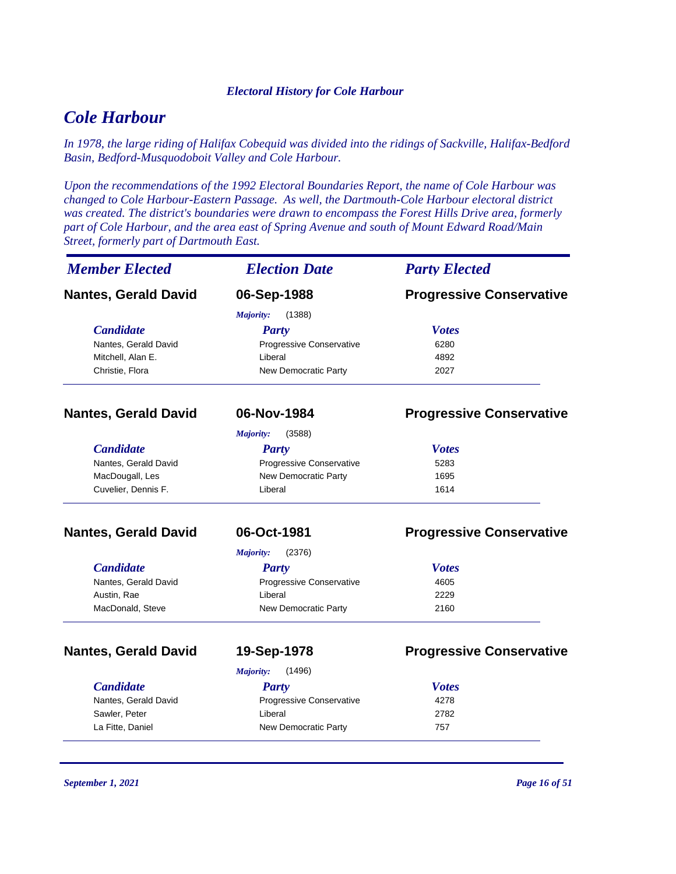#### *Electoral History for Cole Harbour*

# *Cole Harbour*

*In 1978, the large riding of Halifax Cobequid was divided into the ridings of Sackville, Halifax-Bedford Basin, Bedford-Musquodoboit Valley and Cole Harbour.*

*Upon the recommendations of the 1992 Electoral Boundaries Report, the name of Cole Harbour was changed to Cole Harbour-Eastern Passage. As well, the Dartmouth-Cole Harbour electoral district was created. The district's boundaries were drawn to encompass the Forest Hills Drive area, formerly part of Cole Harbour, and the area east of Spring Avenue and south of Mount Edward Road/Main Street, formerly part of Dartmouth East.*

| <b>Member Elected</b>       | <b>Election Date</b>       | <b>Party Elected</b>            |
|-----------------------------|----------------------------|---------------------------------|
| <b>Nantes, Gerald David</b> | 06-Sep-1988                | <b>Progressive Conservative</b> |
|                             | (1388)<br>Majority:        |                                 |
| <b>Candidate</b>            | <b>Party</b>               | <b>Votes</b>                    |
| Nantes, Gerald David        | Progressive Conservative   | 6280                            |
| Mitchell, Alan E.           | Liberal                    | 4892                            |
| Christie, Flora             | New Democratic Party       | 2027                            |
| <b>Nantes, Gerald David</b> | 06-Nov-1984                | <b>Progressive Conservative</b> |
|                             | <b>Majority:</b><br>(3588) |                                 |
| <b>Candidate</b>            | <b>Party</b>               | <b>Votes</b>                    |
| Nantes, Gerald David        | Progressive Conservative   | 5283                            |
| MacDougall, Les             | New Democratic Party       | 1695                            |
| Cuvelier, Dennis F.         | Liberal                    | 1614                            |
| <b>Nantes, Gerald David</b> | 06-Oct-1981                | <b>Progressive Conservative</b> |
|                             | (2376)<br>Majority:        |                                 |
| <b>Candidate</b>            | <b>Party</b>               | <b>Votes</b>                    |
| Nantes, Gerald David        | Progressive Conservative   | 4605                            |
| Austin, Rae                 | Liberal                    | 2229                            |
| MacDonald, Steve            | New Democratic Party       | 2160                            |
| <b>Nantes, Gerald David</b> | 19-Sep-1978                | <b>Progressive Conservative</b> |
|                             | <b>Majority:</b><br>(1496) |                                 |
| <b>Candidate</b>            | <b>Party</b>               | <b>Votes</b>                    |
| Nantes, Gerald David        | Progressive Conservative   | 4278                            |
| Sawler, Peter               | Liberal                    | 2782                            |
| La Fitte, Daniel            | New Democratic Party       | 757                             |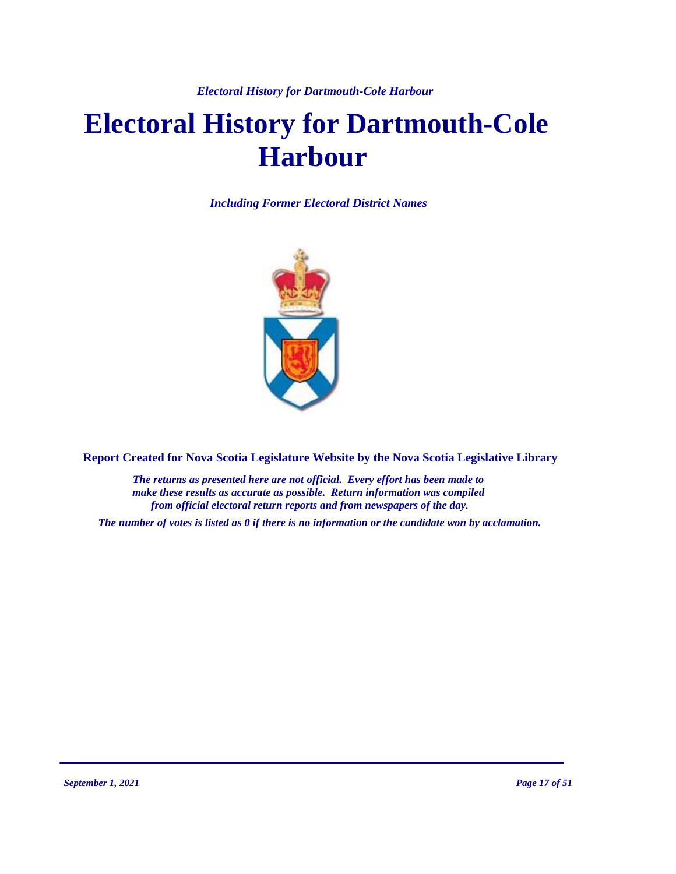*Electoral History for Dartmouth-Cole Harbour* 

# **Electoral History for Dartmouth-Cole Harbour**

*Including Former Electoral District Names*



**Report Created for Nova Scotia Legislature Website by the Nova Scotia Legislative Library**

*The returns as presented here are not official. Every effort has been made to make these results as accurate as possible. Return information was compiled from official electoral return reports and from newspapers of the day.*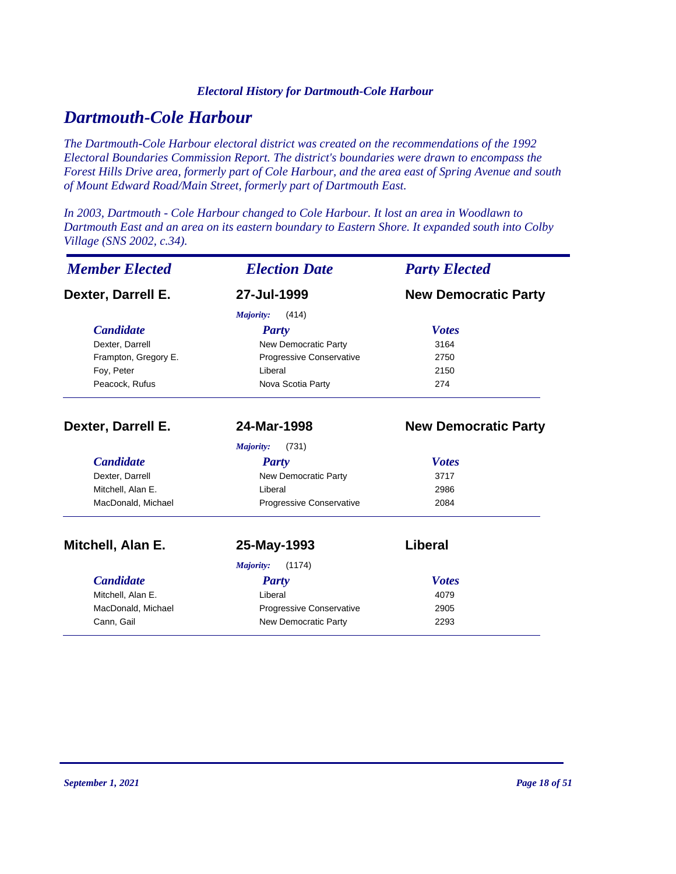#### *Electoral History for Dartmouth-Cole Harbour*

# *Dartmouth-Cole Harbour*

*The Dartmouth-Cole Harbour electoral district was created on the recommendations of the 1992 Electoral Boundaries Commission Report. The district's boundaries were drawn to encompass the Forest Hills Drive area, formerly part of Cole Harbour, and the area east of Spring Avenue and south of Mount Edward Road/Main Street, formerly part of Dartmouth East.*

*In 2003, Dartmouth - Cole Harbour changed to Cole Harbour. It lost an area in Woodlawn to Dartmouth East and an area on its eastern boundary to Eastern Shore. It expanded south into Colby Village (SNS 2002, c.34).*

| <b>Member Elected</b> | <b>Election Date</b>             | <b>Party Elected</b>        |  |
|-----------------------|----------------------------------|-----------------------------|--|
| Dexter, Darrell E.    | 27-Jul-1999                      | <b>New Democratic Party</b> |  |
|                       | (414)<br>Majority:               |                             |  |
| <b>Candidate</b>      | Party                            | <b>Votes</b>                |  |
| Dexter, Darrell       | New Democratic Party             | 3164                        |  |
| Frampton, Gregory E.  | Progressive Conservative         | 2750                        |  |
| Foy, Peter            | Liberal                          | 2150                        |  |
| Peacock, Rufus        | Nova Scotia Party                | 274                         |  |
| Dexter, Darrell E.    | 24-Mar-1998                      | <b>New Democratic Party</b> |  |
|                       | Majority:<br>(731)               |                             |  |
| <b>Candidate</b>      | <b>Party</b>                     | <b>Votes</b>                |  |
| Dexter, Darrell       | New Democratic Party             | 3717                        |  |
| Mitchell, Alan E.     | Liberal                          | 2986                        |  |
| MacDonald, Michael    | Progressive Conservative         | 2084                        |  |
| Mitchell, Alan E.     | 25-May-1993                      | Liberal                     |  |
|                       | (1174)<br>Majority:              |                             |  |
| <b>Candidate</b>      | <b>Party</b>                     | <b>Votes</b>                |  |
| Mitchell, Alan E.     | Liberal<br>4079                  |                             |  |
| MacDonald, Michael    | Progressive Conservative<br>2905 |                             |  |
| Cann, Gail            | New Democratic Party             | 2293                        |  |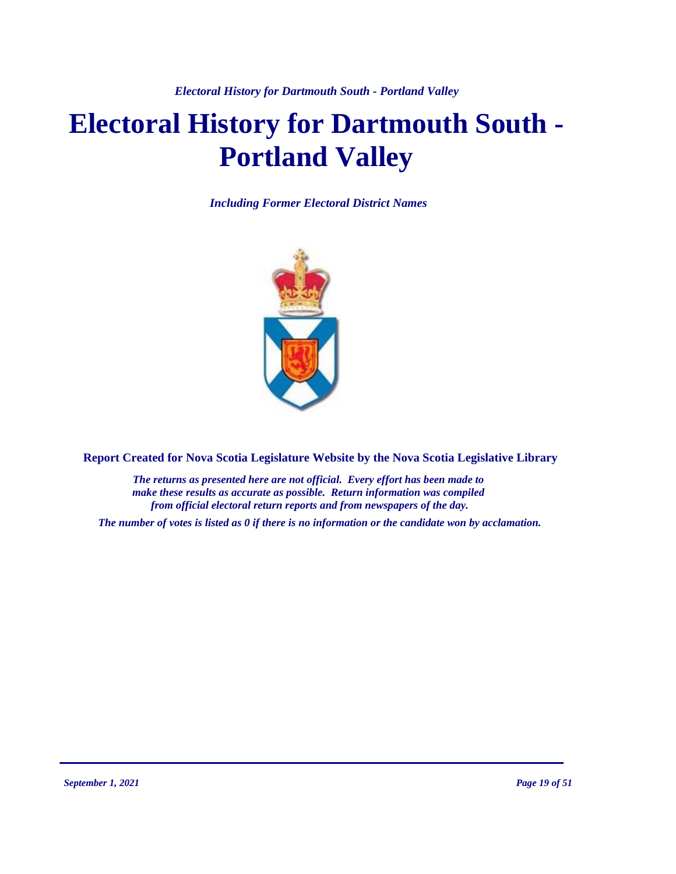# **Electoral History for Dartmouth South - Portland Valley**

*Including Former Electoral District Names*



**Report Created for Nova Scotia Legislature Website by the Nova Scotia Legislative Library**

*The returns as presented here are not official. Every effort has been made to make these results as accurate as possible. Return information was compiled from official electoral return reports and from newspapers of the day.*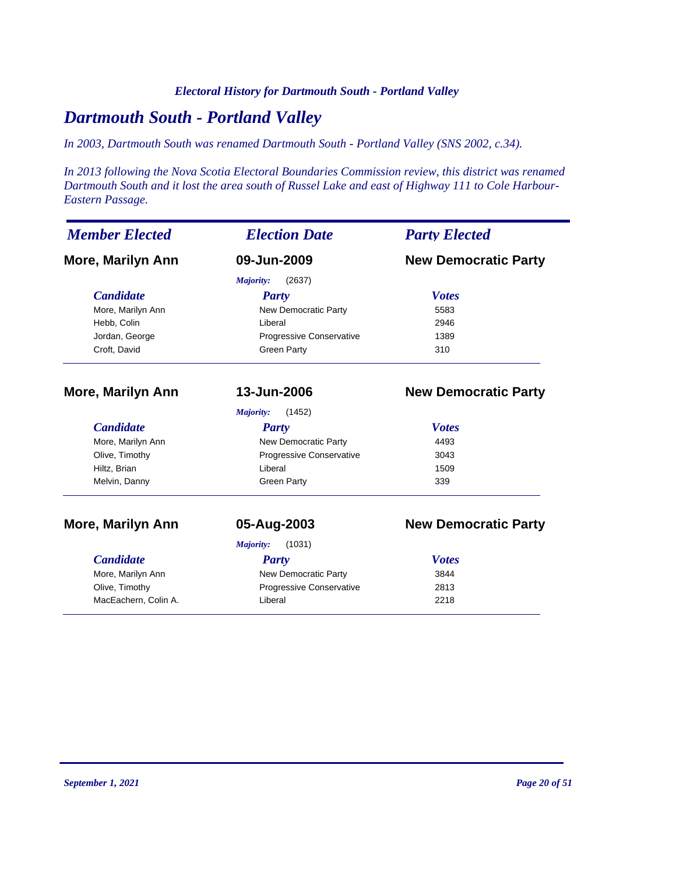#### *Electoral History for Dartmouth South - Portland Valley*

# *Dartmouth South - Portland Valley*

*In 2003, Dartmouth South was renamed Dartmouth South - Portland Valley (SNS 2002, c.34).*

*In 2013 following the Nova Scotia Electoral Boundaries Commission review, this district was renamed Dartmouth South and it lost the area south of Russel Lake and east of Highway 111 to Cole Harbour-Eastern Passage.*

| <b>Member Elected</b>    | <b>Election Date</b>         | <b>Party Elected</b>        |  |
|--------------------------|------------------------------|-----------------------------|--|
| <b>More, Marilyn Ann</b> | 09-Jun-2009                  | <b>New Democratic Party</b> |  |
|                          | (2637)<br>Majority:          |                             |  |
| <b>Candidate</b>         | <b>Party</b>                 | <b>Votes</b>                |  |
| More, Marilyn Ann        | New Democratic Party         | 5583                        |  |
| Hebb, Colin              | Liberal                      | 2946                        |  |
| Jordan, George           | Progressive Conservative     | 1389                        |  |
| Croft, David             | <b>Green Party</b>           | 310                         |  |
| <b>More, Marilyn Ann</b> | 13-Jun-2006                  | <b>New Democratic Party</b> |  |
|                          | Majority:<br>(1452)          |                             |  |
| <b>Candidate</b>         | Party                        | <b>Votes</b>                |  |
| More, Marilyn Ann        | New Democratic Party         | 4493                        |  |
| Olive, Timothy           | Progressive Conservative     | 3043                        |  |
| Hiltz, Brian             | Liberal                      | 1509                        |  |
| Melvin, Danny            | <b>Green Party</b>           | 339                         |  |
| <b>More, Marilyn Ann</b> | 05-Aug-2003                  | <b>New Democratic Party</b> |  |
|                          | Majority:<br>(1031)          |                             |  |
| <b>Candidate</b>         | <b>Party</b>                 | <b>Votes</b>                |  |
| More, Marilyn Ann        | New Democratic Party<br>3844 |                             |  |
| Olive, Timothy           | Progressive Conservative     | 2813                        |  |
| MacEachern, Colin A.     | Liberal                      | 2218                        |  |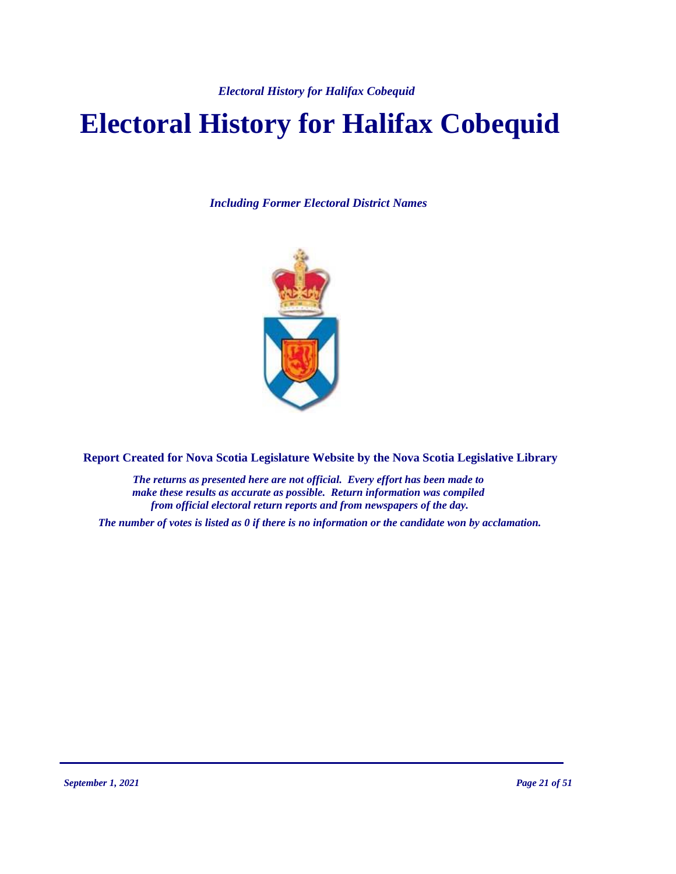*Electoral History for Halifax Cobequid*

# **Electoral History for Halifax Cobequid**

*Including Former Electoral District Names*



**Report Created for Nova Scotia Legislature Website by the Nova Scotia Legislative Library**

*The returns as presented here are not official. Every effort has been made to make these results as accurate as possible. Return information was compiled from official electoral return reports and from newspapers of the day.*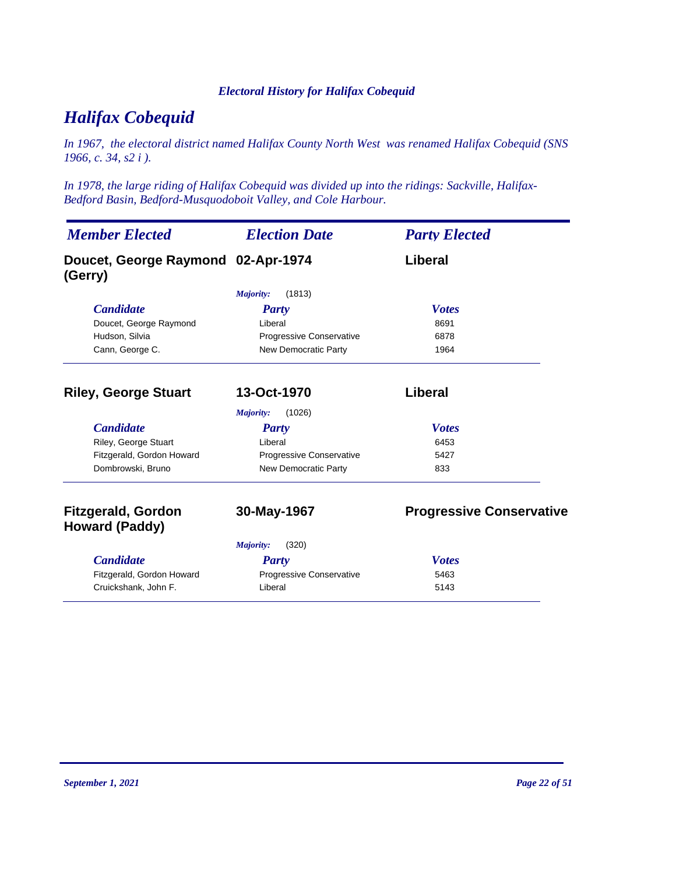#### *Electoral History for Halifax Cobequid*

# *Halifax Cobequid*

*In 1967, the electoral district named Halifax County North West was renamed Halifax Cobequid (SNS 1966, c. 34, s2 i ).*

*In 1978, the large riding of Halifax Cobequid was divided up into the ridings: Sackville, Halifax-Bedford Basin, Bedford-Musquodoboit Valley, and Cole Harbour.*

| <b>Member Elected</b>                              | <b>Election Date</b>        | <b>Party Elected</b>            |
|----------------------------------------------------|-----------------------------|---------------------------------|
| Doucet, George Raymond 02-Apr-1974<br>(Gerry)      |                             | Liberal                         |
|                                                    | (1813)<br>Majority:         |                                 |
| <b>Candidate</b>                                   | <b>Party</b>                | <b>Votes</b>                    |
| Doucet, George Raymond                             | Liberal                     | 8691                            |
| Hudson, Silvia                                     | Progressive Conservative    | 6878                            |
| Cann, George C.                                    | <b>New Democratic Party</b> | 1964                            |
| <b>Riley, George Stuart</b>                        | 13-Oct-1970                 | Liberal                         |
|                                                    | (1026)<br><b>Majority:</b>  |                                 |
| <b>Candidate</b>                                   | <b>Party</b>                | <b>Votes</b>                    |
| Riley, George Stuart                               | Liberal                     | 6453                            |
| Fitzgerald, Gordon Howard                          | Progressive Conservative    | 5427                            |
| Dombrowski, Bruno                                  | <b>New Democratic Party</b> | 833                             |
| <b>Fitzgerald, Gordon</b><br><b>Howard (Paddy)</b> | 30-May-1967                 | <b>Progressive Conservative</b> |
|                                                    | (320)<br>Majority:          |                                 |
| <b>Candidate</b>                                   | Party                       | <b>Votes</b>                    |
| Fitzgerald, Gordon Howard                          | Progressive Conservative    | 5463                            |
| Cruickshank, John F.                               | Liberal                     | 5143                            |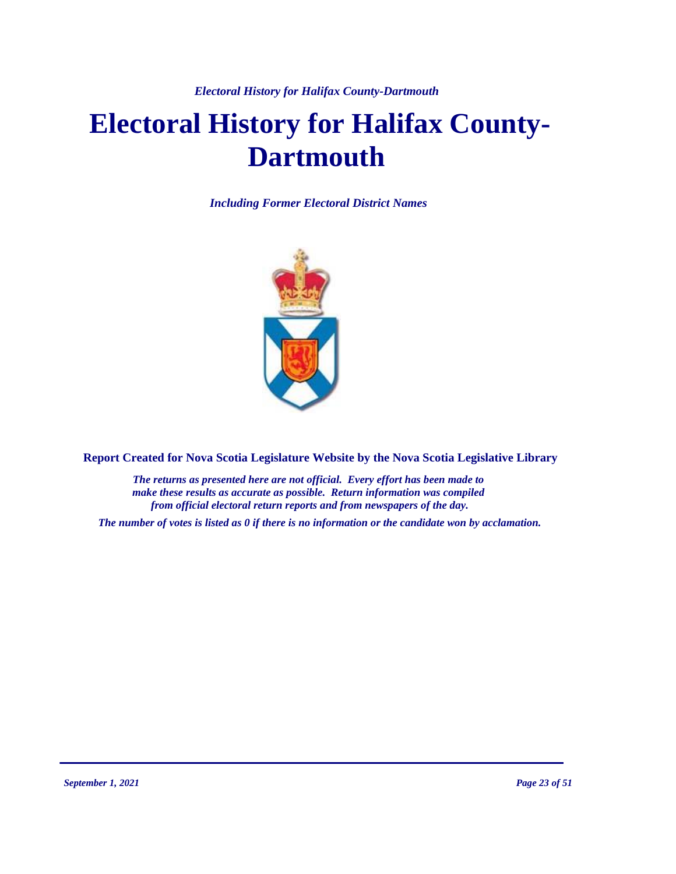*Electoral History for Halifax County-Dartmouth*

# **Electoral History for Halifax County-Dartmouth**

*Including Former Electoral District Names*



**Report Created for Nova Scotia Legislature Website by the Nova Scotia Legislative Library**

*The returns as presented here are not official. Every effort has been made to make these results as accurate as possible. Return information was compiled from official electoral return reports and from newspapers of the day.*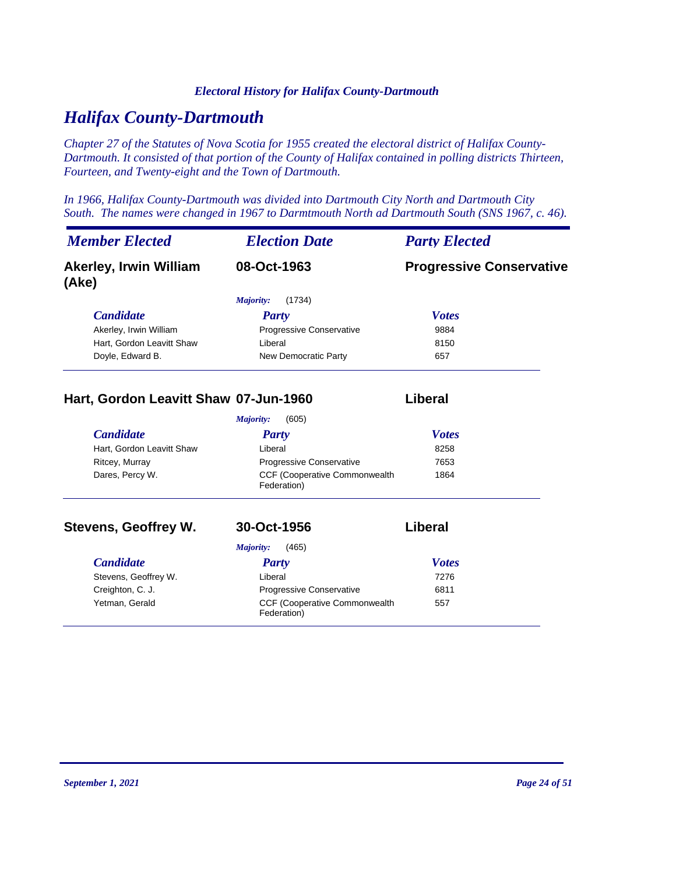#### *Electoral History for Halifax County-Dartmouth*

# *Halifax County-Dartmouth*

*Chapter 27 of the Statutes of Nova Scotia for 1955 created the electoral district of Halifax County-Dartmouth. It consisted of that portion of the County of Halifax contained in polling districts Thirteen, Fourteen, and Twenty-eight and the Town of Dartmouth.*

*In 1966, Halifax County-Dartmouth was divided into Dartmouth City North and Dartmouth City South. The names were changed in 1967 to Darmtmouth North ad Dartmouth South (SNS 1967, c. 46).*

| <b>Member Elected</b>                  | <b>Election Date</b>            | <b>Party Elected</b>            |
|----------------------------------------|---------------------------------|---------------------------------|
| <b>Akerley, Irwin William</b><br>(Ake) | 08-Oct-1963                     | <b>Progressive Conservative</b> |
|                                        | (1734)<br>Majority:             |                                 |
| <b>Candidate</b>                       | Party                           | <b>Votes</b>                    |
| Akerley, Irwin William                 | <b>Progressive Conservative</b> | 9884                            |
| Hart, Gordon Leavitt Shaw              | Liberal                         | 8150                            |
| Doyle, Edward B.                       | New Democratic Party            | 657                             |

#### **Hart, Gordon Leavitt Shaw 07-Jun-1960 Liberal**

|                           | (605)<br>Majority:                                   |              |  |
|---------------------------|------------------------------------------------------|--------------|--|
| <b>Candidate</b>          | <b>Party</b>                                         | <b>Votes</b> |  |
| Hart, Gordon Leavitt Shaw | Liberal                                              | 8258         |  |
| Ritcey, Murray            | <b>Progressive Conservative</b>                      | 7653         |  |
| Dares, Percy W.           | <b>CCF (Cooperative Commonwealth)</b><br>Federation) | 1864         |  |

#### **Stevens, Geoffrey W. 30-Oct-1956 Liberal**

#### *Candidate Party Votes Majority:* (465) Stevens, Geoffrey W. **Example 2018** Liberal 2276 Creighton, C. J. **Creighton, C. J.** Progressive Conservative 6811 CCF (Cooperative Commonwealth Yetman, Gerald 557 Federation)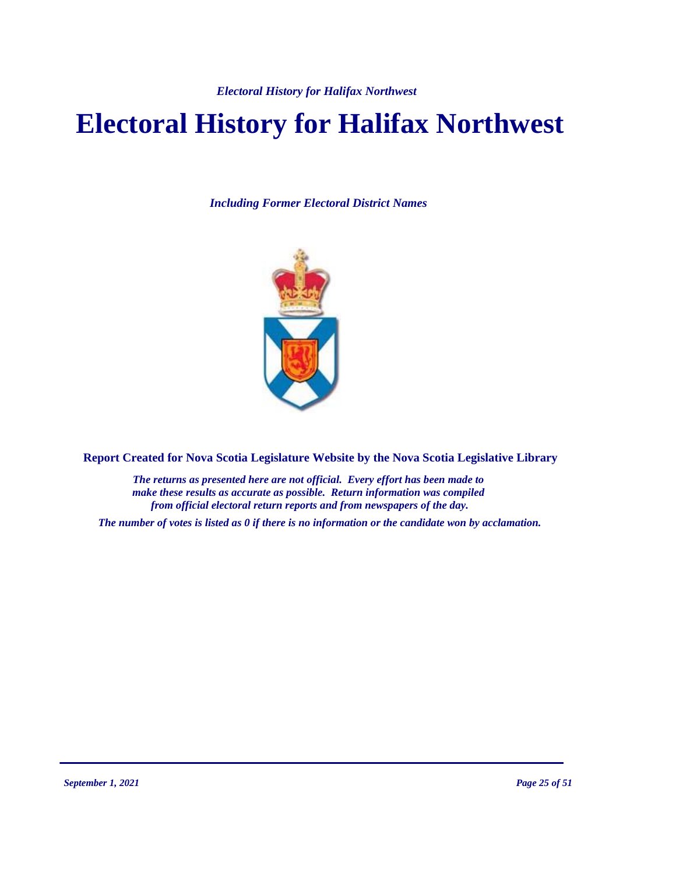# **Electoral History for Halifax Northwest**

*Including Former Electoral District Names*



**Report Created for Nova Scotia Legislature Website by the Nova Scotia Legislative Library**

*The returns as presented here are not official. Every effort has been made to make these results as accurate as possible. Return information was compiled from official electoral return reports and from newspapers of the day.*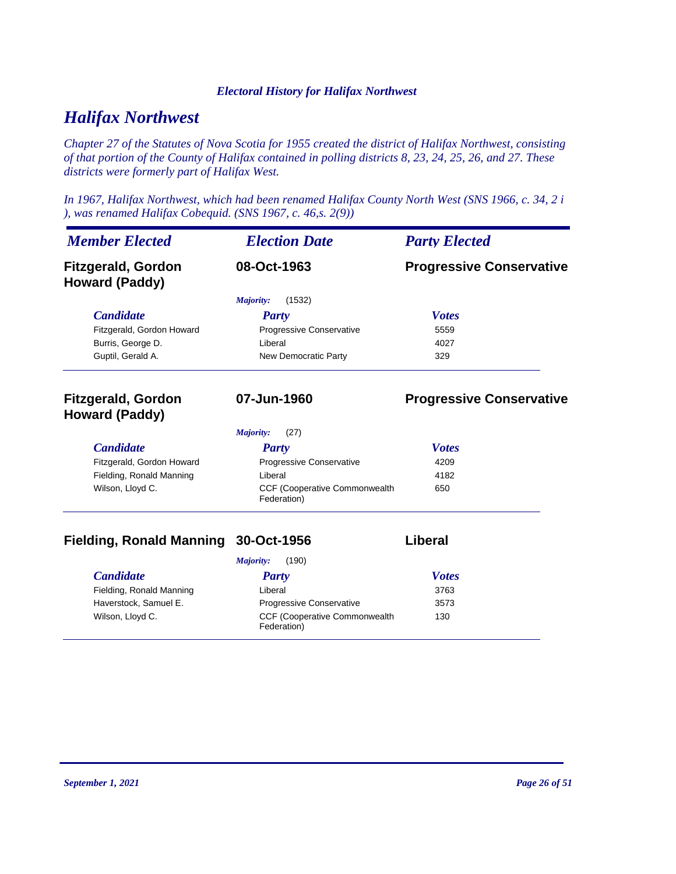# *Halifax Northwest*

*Chapter 27 of the Statutes of Nova Scotia for 1955 created the district of Halifax Northwest, consisting of that portion of the County of Halifax contained in polling districts 8, 23, 24, 25, 26, and 27. These districts were formerly part of Halifax West.*

*In 1967, Halifax Northwest, which had been renamed Halifax County North West (SNS 1966, c. 34, 2 i ), was renamed Halifax Cobequid. (SNS 1967, c. 46,s. 2(9))*

| <b>Member Elected</b>                              | <b>Election Date</b>                         | <b>Party Elected</b>            |
|----------------------------------------------------|----------------------------------------------|---------------------------------|
| <b>Fitzgerald, Gordon</b><br><b>Howard (Paddy)</b> | 08-Oct-1963                                  | <b>Progressive Conservative</b> |
|                                                    | (1532)<br><i>Majority:</i>                   |                                 |
| <b>Candidate</b>                                   | <b>Party</b>                                 | <b>Votes</b>                    |
| Fitzgerald, Gordon Howard                          | Progressive Conservative                     | 5559                            |
| Burris, George D.                                  | I iberal                                     | 4027                            |
| Guptil, Gerald A.                                  | New Democratic Party                         | 329                             |
| <b>Fitzgerald, Gordon</b><br>Howard (Paddy)        | 07-Jun-1960                                  | <b>Progressive Conservative</b> |
|                                                    | (27)<br>Majority:                            |                                 |
| <b>Candidate</b>                                   | <b>Party</b>                                 | <b>Votes</b>                    |
| Fitzgerald, Gordon Howard                          | Progressive Conservative                     | 4209                            |
| Fielding, Ronald Manning                           | Liberal                                      | 4182                            |
| Wilson, Lloyd C.                                   | CCF (Cooperative Commonwealth<br>Federation) | 650                             |

### **Fielding, Ronald Manning 30-Oct-1956 Liberal**

|                          | (190)<br>Majority:                                   |              |
|--------------------------|------------------------------------------------------|--------------|
| <i>Candidate</i>         | <b>Party</b>                                         | <b>Votes</b> |
| Fielding, Ronald Manning | Liberal                                              | 3763         |
| Haverstock, Samuel E.    | <b>Progressive Conservative</b>                      | 3573         |
| Wilson, Lloyd C.         | <b>CCF (Cooperative Commonwealth)</b><br>Federation) | 130          |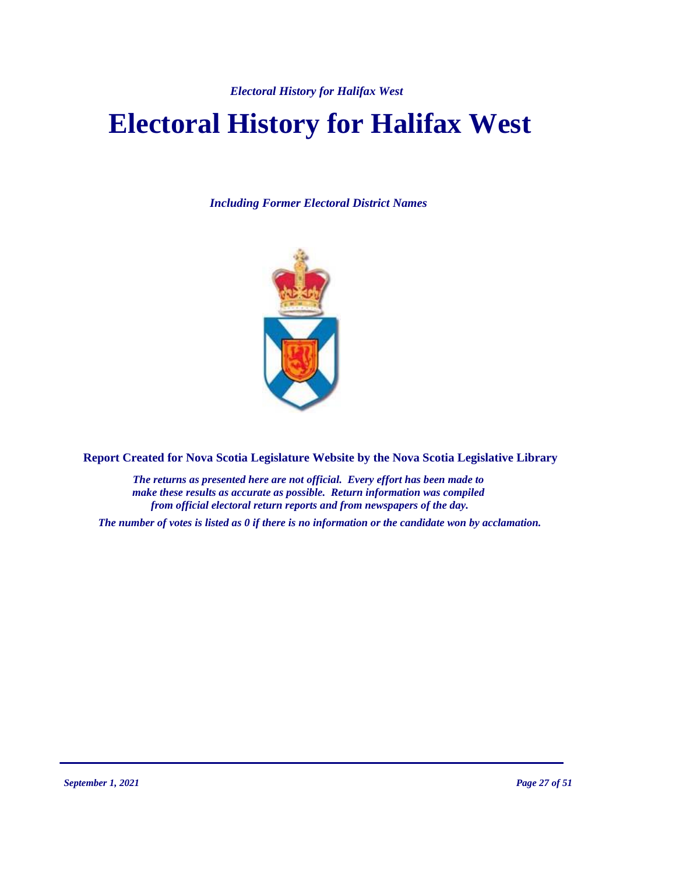# **Electoral History for Halifax West**

*Including Former Electoral District Names*



**Report Created for Nova Scotia Legislature Website by the Nova Scotia Legislative Library**

*The returns as presented here are not official. Every effort has been made to make these results as accurate as possible. Return information was compiled from official electoral return reports and from newspapers of the day.*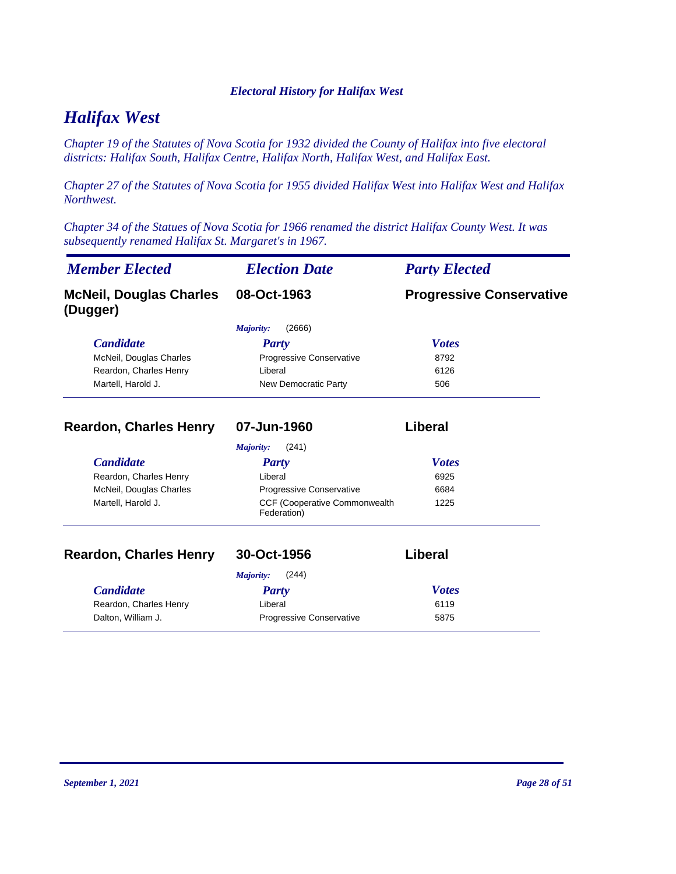# *Halifax West*

*Chapter 19 of the Statutes of Nova Scotia for 1932 divided the County of Halifax into five electoral districts: Halifax South, Halifax Centre, Halifax North, Halifax West, and Halifax East.*

*Chapter 27 of the Statutes of Nova Scotia for 1955 divided Halifax West into Halifax West and Halifax Northwest.*

*Chapter 34 of the Statues of Nova Scotia for 1966 renamed the district Halifax County West. It was subsequently renamed Halifax St. Margaret's in 1967.*

| <b>Member Elected</b>                      | <b>Election Date</b>                         | <b>Party Elected</b>            |
|--------------------------------------------|----------------------------------------------|---------------------------------|
| <b>McNeil, Douglas Charles</b><br>(Dugger) | 08-Oct-1963                                  | <b>Progressive Conservative</b> |
|                                            | (2666)<br>Majority:                          |                                 |
| <b>Candidate</b>                           | Party                                        | <b>Votes</b>                    |
| McNeil, Douglas Charles                    | Progressive Conservative                     | 8792                            |
| Reardon, Charles Henry                     | Liberal                                      | 6126                            |
| Martell, Harold J.                         | New Democratic Party                         | 506                             |
| <b>Reardon, Charles Henry</b>              | 07-Jun-1960                                  | Liberal                         |
|                                            | (241)<br>Majority:                           |                                 |
| <b>Candidate</b>                           | <b>Party</b>                                 | <b>Votes</b>                    |
| Reardon, Charles Henry                     | Liberal                                      | 6925                            |
| McNeil, Douglas Charles                    | Progressive Conservative                     | 6684                            |
| Martell, Harold J.                         | CCF (Cooperative Commonwealth<br>Federation) | 1225                            |
| <b>Reardon, Charles Henry</b>              | 30-Oct-1956                                  | Liberal                         |
|                                            | Majority:<br>(244)                           |                                 |
| <b>Candidate</b>                           | Party                                        | <b>Votes</b>                    |
| Reardon, Charles Henry                     | Liberal                                      | 6119                            |
| Dalton, William J.                         | Progressive Conservative                     | 5875                            |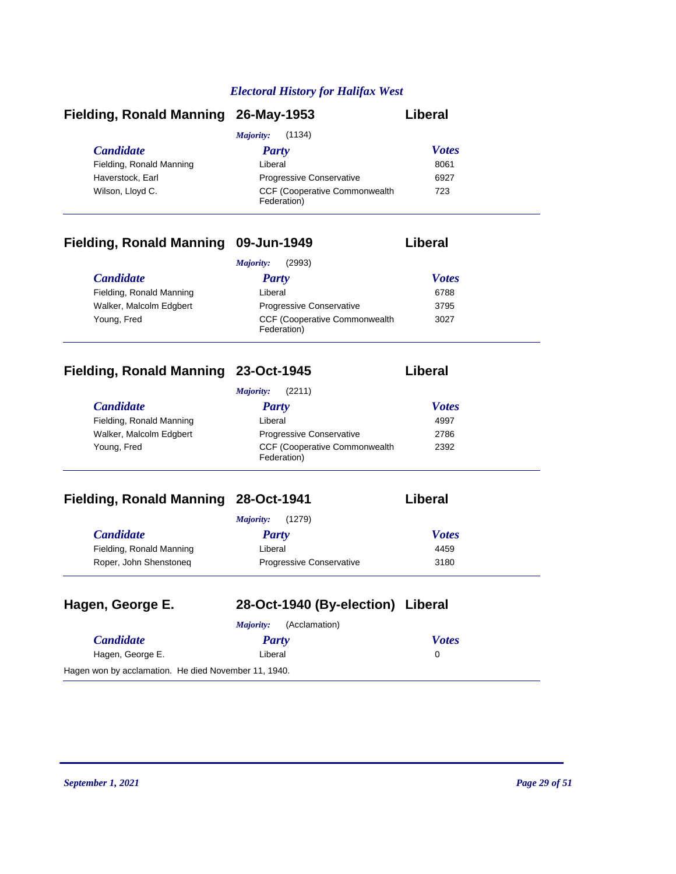| Fielding, Ronald Manning 26-May-1953 |                                                      | Liberal      |
|--------------------------------------|------------------------------------------------------|--------------|
|                                      | (1134)<br>Majority:                                  |              |
| <i>Candidate</i>                     | Party                                                | <b>Votes</b> |
| Fielding, Ronald Manning             | Liberal                                              | 8061         |
| Haverstock, Earl                     | <b>Progressive Conservative</b>                      | 6927         |
| Wilson, Lloyd C.                     | <b>CCF (Cooperative Commonwealth)</b><br>Federation) | 723          |

# **Fielding, Ronald Manning 09-Jun-1949 Liberal**

|                          | (2993)<br>Majority:                                  |              |
|--------------------------|------------------------------------------------------|--------------|
| <i>Candidate</i>         | Party                                                | <b>Votes</b> |
| Fielding, Ronald Manning | Liberal                                              | 6788         |
| Walker, Malcolm Edgbert  | <b>Progressive Conservative</b>                      | 3795         |
| Young, Fred              | <b>CCF (Cooperative Commonwealth)</b><br>Federation) | 3027         |

## **Fielding, Ronald Manning 23-Oct-1945 Liberal**

| (2211)<br>Maiority:      |                                                      |              |
|--------------------------|------------------------------------------------------|--------------|
| <b>Candidate</b>         | Party                                                | <b>Votes</b> |
| Fielding, Ronald Manning | Liberal                                              | 4997         |
| Walker, Malcolm Edgbert  | <b>Progressive Conservative</b>                      | 2786         |
| Young, Fred              | <b>CCF (Cooperative Commonwealth)</b><br>Federation) | 2392         |

# **Fielding, Ronald Manning 28-Oct-1941**

|  | iberal |  |
|--|--------|--|
|--|--------|--|

|                          | (1279)<br>Majority:             |              |
|--------------------------|---------------------------------|--------------|
| <i>Candidate</i>         | Party                           | <b>Votes</b> |
| Fielding, Ronald Manning | Liberal                         | 4459         |
| Roper, John Shenstoneg   | <b>Progressive Conservative</b> | 3180         |

| Hagen, George E.                                     | 28-Oct-1940 (By-election) Liberal |              |
|------------------------------------------------------|-----------------------------------|--------------|
|                                                      | (Acclamation)<br>Maiority:        |              |
| <b>Candidate</b>                                     | Party                             | <b>Votes</b> |
| Hagen, George E.                                     | Liberal                           | 0            |
| Hagen won by acclamation. He died November 11, 1940. |                                   |              |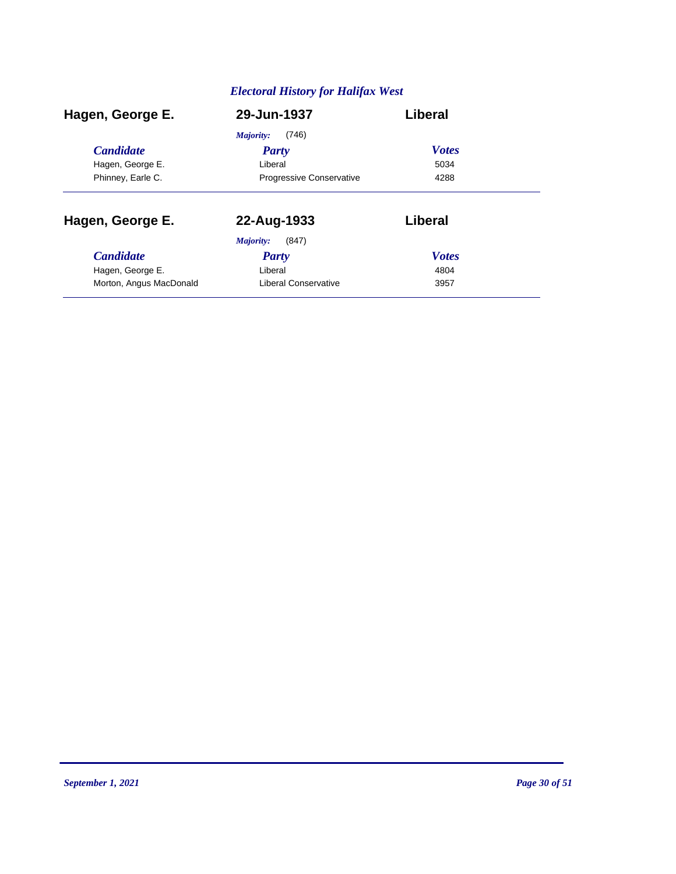| Hagen, George E.        | 29-Jun-1937                     | Liberal      |
|-------------------------|---------------------------------|--------------|
|                         | (746)<br>Majority:              |              |
| <b>Candidate</b>        | <b>Party</b>                    | <b>Votes</b> |
| Hagen, George E.        | Liberal                         | 5034         |
| Phinney, Earle C.       | <b>Progressive Conservative</b> | 4288         |
| Hagen, George E.        | 22-Aug-1933                     | Liberal      |
|                         | (847)<br>Majority:              |              |
| <b>Candidate</b>        | Party                           | <b>Votes</b> |
| Hagen, George E.        | Liberal                         | 4804         |
| Morton, Angus MacDonald | Liberal Conservative            | 3957         |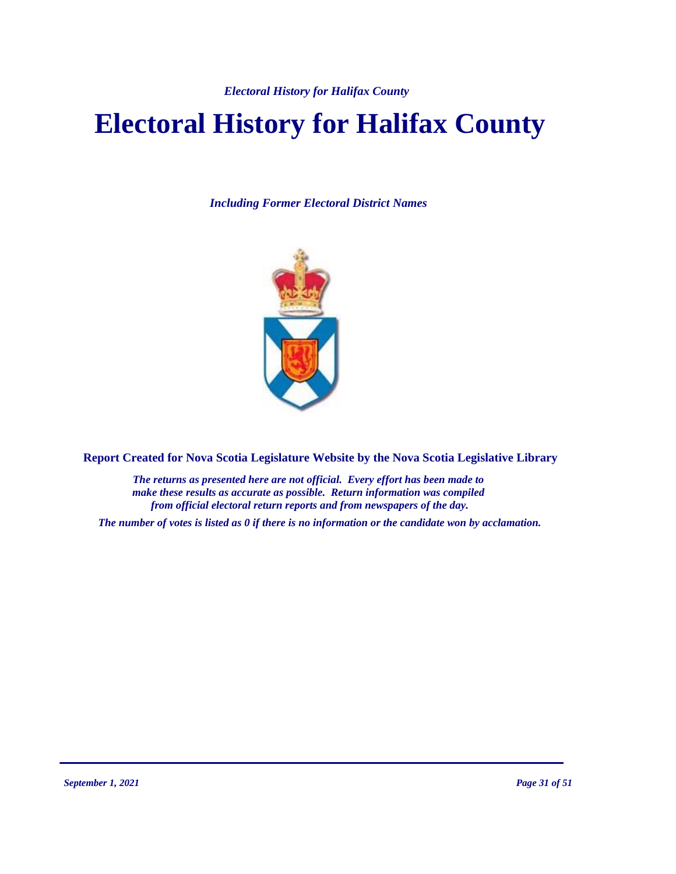# **Electoral History for Halifax County**

*Including Former Electoral District Names*



**Report Created for Nova Scotia Legislature Website by the Nova Scotia Legislative Library**

*The returns as presented here are not official. Every effort has been made to make these results as accurate as possible. Return information was compiled from official electoral return reports and from newspapers of the day.*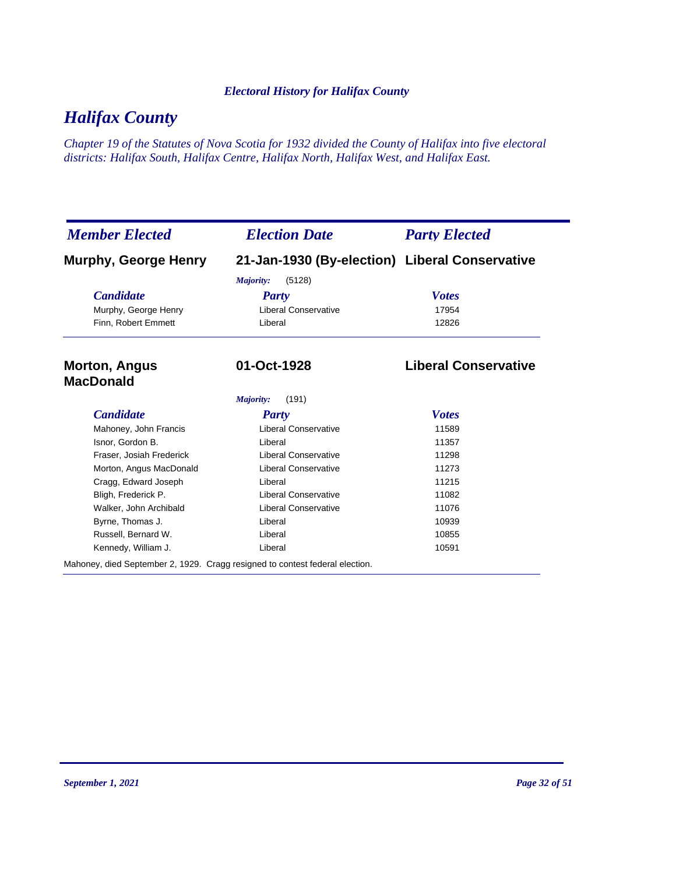# *Halifax County*

*Chapter 19 of the Statutes of Nova Scotia for 1932 divided the County of Halifax into five electoral districts: Halifax South, Halifax Centre, Halifax North, Halifax West, and Halifax East.*

| <b>Member Elected</b>                                                        | <b>Election Date</b>                           | <b>Party Elected</b>        |
|------------------------------------------------------------------------------|------------------------------------------------|-----------------------------|
| <b>Murphy, George Henry</b>                                                  | 21-Jan-1930 (By-election) Liberal Conservative |                             |
|                                                                              | (5128)<br>Majority:                            |                             |
| <b>Candidate</b>                                                             | Party                                          | <b>Votes</b>                |
| Murphy, George Henry                                                         | <b>Liberal Conservative</b>                    | 17954                       |
| Finn, Robert Emmett                                                          | Liberal                                        | 12826                       |
| <b>Morton, Angus</b><br><b>MacDonald</b>                                     | 01-Oct-1928                                    | <b>Liberal Conservative</b> |
|                                                                              | Majority:<br>(191)                             |                             |
| <b>Candidate</b>                                                             | <b>Party</b>                                   | <b>Votes</b>                |
| Mahoney, John Francis                                                        | <b>Liberal Conservative</b>                    | 11589                       |
| Isnor, Gordon B.                                                             | Liberal                                        | 11357                       |
| Fraser, Josiah Frederick                                                     | <b>Liberal Conservative</b>                    | 11298                       |
| Morton, Angus MacDonald                                                      | <b>Liberal Conservative</b>                    | 11273                       |
| Cragg, Edward Joseph                                                         | Liberal                                        | 11215                       |
| Bligh, Frederick P.                                                          | <b>Liberal Conservative</b>                    | 11082                       |
| Walker, John Archibald                                                       | <b>Liberal Conservative</b>                    | 11076                       |
| Byrne, Thomas J.                                                             | Liberal                                        | 10939                       |
| Russell, Bernard W.                                                          | Liberal                                        | 10855                       |
| Kennedy, William J.                                                          | Liberal                                        | 10591                       |
| Mahoney, died September 2, 1929. Cragg resigned to contest federal election. |                                                |                             |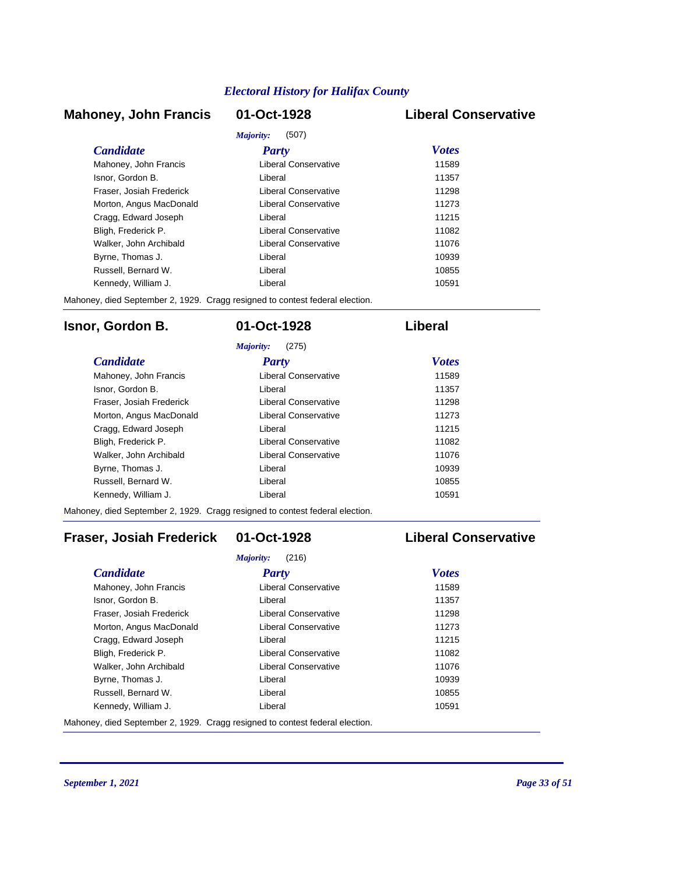### **Mahoney, John Francis 01-Oct-1928 Liberal Conservative**

| Majority:<br>(507)       |                      |              |
|--------------------------|----------------------|--------------|
| <i>Candidate</i>         | Party                | <b>Votes</b> |
| Mahoney, John Francis    | Liberal Conservative | 11589        |
| Isnor, Gordon B.         | Liberal              | 11357        |
| Fraser, Josiah Frederick | Liberal Conservative | 11298        |
| Morton, Angus MacDonald  | Liberal Conservative | 11273        |
| Cragg, Edward Joseph     | I iberal             | 11215        |
| Bligh, Frederick P.      | Liberal Conservative | 11082        |
| Walker, John Archibald   | Liberal Conservative | 11076        |
| Byrne, Thomas J.         | Liberal              | 10939        |
| Russell, Bernard W.      | I iberal             | 10855        |
| Kennedy, William J.      | I iberal             | 10591        |

Mahoney, died September 2, 1929. Cragg resigned to contest federal election.

### **Isnor, Gordon B. 01-Oct-1928 Liberal**

| (275)<br>Majority:       |                      |              |
|--------------------------|----------------------|--------------|
| <b>Candidate</b>         | Party                | <b>Votes</b> |
| Mahoney, John Francis    | Liberal Conservative | 11589        |
| Isnor, Gordon B.         | Liberal              | 11357        |
| Fraser, Josiah Frederick | Liberal Conservative | 11298        |
| Morton, Angus MacDonald  | Liberal Conservative | 11273        |
| Cragg, Edward Joseph     | Liberal              | 11215        |
| Bligh, Frederick P.      | Liberal Conservative | 11082        |
| Walker, John Archibald   | Liberal Conservative | 11076        |
| Byrne, Thomas J.         | I iberal             | 10939        |
| Russell, Bernard W.      | I iberal             | 10855        |
| Kennedy, William J.      | Liberal              | 10591        |

Mahoney, died September 2, 1929. Cragg resigned to contest federal election.

## **Fraser, Josiah Frederick 01-Oct-1928 Liberal Conservative**

| (216)<br>Majority:       |                      |              |
|--------------------------|----------------------|--------------|
| <b>Candidate</b>         | Party                | <b>Votes</b> |
| Mahoney, John Francis    | Liberal Conservative | 11589        |
| Isnor, Gordon B.         | Liberal              | 11357        |
| Fraser, Josiah Frederick | Liberal Conservative | 11298        |
| Morton, Angus MacDonald  | Liberal Conservative | 11273        |
| Cragg, Edward Joseph     | Liberal              | 11215        |
| Bligh, Frederick P.      | Liberal Conservative | 11082        |
| Walker, John Archibald   | Liberal Conservative | 11076        |
| Byrne, Thomas J.         | Liberal              | 10939        |
| Russell, Bernard W.      | Liberal              | 10855        |
| Kennedy, William J.      | Liberal              | 10591        |

Mahoney, died September 2, 1929. Cragg resigned to contest federal election.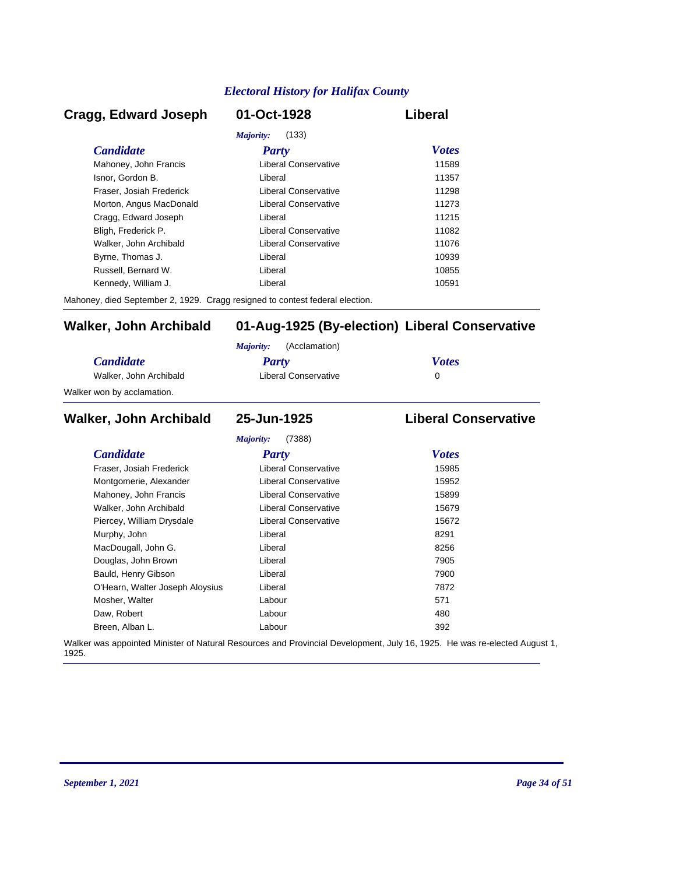### *Candidate Party Votes* **Cragg, Edward Joseph 01-Oct-1928 Liberal** *Majority:* (133) Mahoney, John Francis **Liberal Conservative** 11589 Isnor, Gordon B. Liberal 11357 Fraser, Josiah Frederick Liberal Conservative 11298 Morton, Angus MacDonald **Liberal Conservative** 11273 Cragg, Edward Joseph Liberal 11215 Bligh, Frederick P. Liberal Conservative 11082 Walker, John Archibald **Liberal Conservative** 11076 Byrne, Thomas J. Christian Liberal Liberal Christian Museum and the 10939 Russell, Bernard W. Liberal 10855 Kennedy, William J. Christian Liberal Liberal Christian Museum of the 10591

Mahoney, died September 2, 1929. Cragg resigned to contest federal election.

#### **Walker, John Archibald 01-Aug-1925 (By-election) Liberal Conservative**

|                            | (Acclamation)<br>Maiority: |              |
|----------------------------|----------------------------|--------------|
| <i>Candidate</i>           | Party                      | <b>Votes</b> |
| Walker, John Archibald     | Liberal Conservative       |              |
| Walker won by acclamation. |                            |              |

#### *Candidate Party Votes* **Walker, John Archibald 25-Jun-1925 Liberal Conservative** *Majority:* (7388) Fraser, Josiah Frederick Liberal Conservative 15985 Montgomerie, Alexander **Liberal Conservative** 15952 Mahoney, John Francis **Liberal Conservative** 15899 Walker, John Archibald **Liberal Conservative** 15679 Piercey, William Drysdale **Liberal Conservative** 15672 Murphy, John **Base Communist Communist Communist Communist Communist Communist Communist Communist Communist Communist Communist Communist Communist Communist Communist Communist Communist Communist Communist Communist Com** MacDougall, John G. Christian Muslim Liberal Christian Muslim Muslim Bacher and Muslim Muslim Muslim Muslim Muslim Muslim Muslim Muslim Muslim Muslim Muslim Muslim Muslim Muslim Muslim Muslim Muslim Muslim Muslim Muslim Mu Douglas, John Brown **Digest Example 2018** Liberal *T905* 7905 Bauld, Henry Gibson Liberal 7900 O'Hearn, Walter Joseph Aloysius Liberal Liberal 27872 Mosher, Walter **Contract Contract Contract Contract Contract Contract Contract Contract Contract Contract Contract Contract Contract Contract Contract Contract Contract Contract Contract Contract Contract Contract Contract** Daw, Robert 280 and 200 km control and 200 km control and 200 km control and 200 km control and 200 km control and 200 km control and 200 km control and 200 km control and 200 km control and 200 km control and 200 km contr Breen, Alban L. Labour 392

Walker was appointed Minister of Natural Resources and Provincial Development, July 16, 1925. He was re-elected August 1, 1925.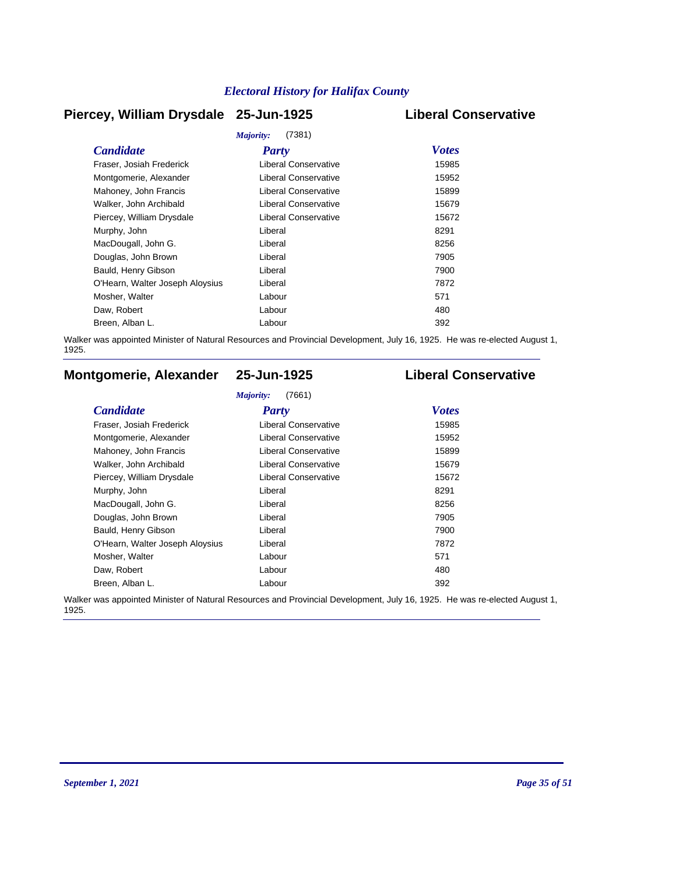### **Piercey, William Drysdale 25-Jun-1925 Liberal Conservative**

| Majority:<br>(7381)             |                             |              |  |  |
|---------------------------------|-----------------------------|--------------|--|--|
| <b>Candidate</b>                | <b>Party</b>                | <b>Votes</b> |  |  |
| Fraser, Josiah Frederick        | Liberal Conservative        | 15985        |  |  |
| Montgomerie, Alexander          | Liberal Conservative        | 15952        |  |  |
| Mahoney, John Francis           | <b>Liberal Conservative</b> | 15899        |  |  |
| Walker, John Archibald          | <b>Liberal Conservative</b> | 15679        |  |  |
| Piercey, William Drysdale       | Liberal Conservative        | 15672        |  |  |
| Murphy, John                    | Liberal                     | 8291         |  |  |
| MacDougall, John G.             | Liberal                     | 8256         |  |  |
| Douglas, John Brown             | Liberal                     | 7905         |  |  |
| Bauld, Henry Gibson             | Liberal                     | 7900         |  |  |
| O'Hearn, Walter Joseph Aloysius | Liberal                     | 7872         |  |  |
| Mosher, Walter                  | Labour                      | 571          |  |  |
| Daw, Robert                     | Labour                      | 480          |  |  |
| Breen, Alban L.                 | Labour                      | 392          |  |  |
|                                 |                             |              |  |  |

Walker was appointed Minister of Natural Resources and Provincial Development, July 16, 1925. He was re-elected August 1, 1925.

## **Montgomerie, Alexander 25-Jun-1925 Liberal Conservative**

#### *Majority:* (7661)

| <b>Candidate</b>                | Party                       | <b>Votes</b> |
|---------------------------------|-----------------------------|--------------|
| Fraser, Josiah Frederick        | Liberal Conservative        | 15985        |
| Montgomerie, Alexander          | Liberal Conservative        | 15952        |
| Mahoney, John Francis           | <b>Liberal Conservative</b> | 15899        |
| Walker, John Archibald          | <b>Liberal Conservative</b> | 15679        |
| Piercey, William Drysdale       | Liberal Conservative        | 15672        |
| Murphy, John                    | Liberal                     | 8291         |
| MacDougall, John G.             | Liberal                     | 8256         |
| Douglas, John Brown             | Liberal                     | 7905         |
| Bauld, Henry Gibson             | Liberal                     | 7900         |
| O'Hearn, Walter Joseph Aloysius | Liberal                     | 7872         |
| Mosher, Walter                  | Labour                      | 571          |
| Daw, Robert                     | Labour                      | 480          |
| Breen, Alban L.                 | Labour                      | 392          |

Walker was appointed Minister of Natural Resources and Provincial Development, July 16, 1925. He was re-elected August 1, 1925.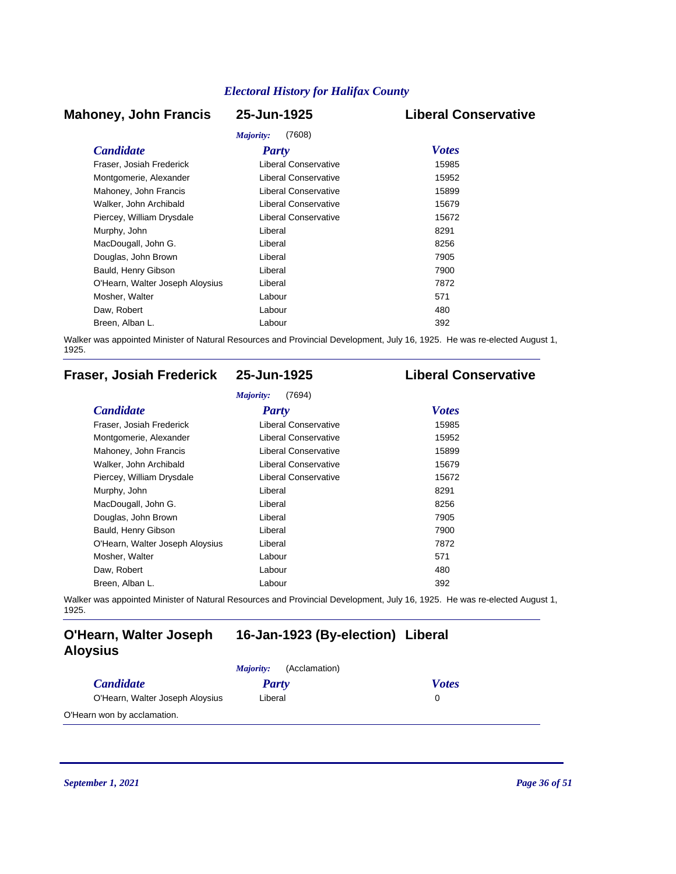### **Mahoney, John Francis 25-Jun-1925 Liberal Conservative**

# *Majority:* (7608)

| <i>Majority:</i><br>(7608)      |                             |              |  |  |
|---------------------------------|-----------------------------|--------------|--|--|
| <b>Candidate</b>                | <b>Party</b>                | <b>Votes</b> |  |  |
| Fraser, Josiah Frederick        | Liberal Conservative        | 15985        |  |  |
| Montgomerie, Alexander          | <b>Liberal Conservative</b> | 15952        |  |  |
| Mahoney, John Francis           | Liberal Conservative        | 15899        |  |  |
| Walker, John Archibald          | Liberal Conservative        | 15679        |  |  |
| Piercey, William Drysdale       | Liberal Conservative        | 15672        |  |  |
| Murphy, John                    | Liberal                     | 8291         |  |  |
| MacDougall, John G.             | Liberal                     | 8256         |  |  |
| Douglas, John Brown             | Liberal                     | 7905         |  |  |
| Bauld, Henry Gibson             | Liberal                     | 7900         |  |  |
| O'Hearn, Walter Joseph Aloysius | Liberal                     | 7872         |  |  |
| Mosher, Walter                  | Labour                      | 571          |  |  |
| Daw, Robert                     | Labour                      | 480          |  |  |
| Breen, Alban L.                 | Labour                      | 392          |  |  |

Walker was appointed Minister of Natural Resources and Provincial Development, July 16, 1925. He was re-elected August 1, 1925.

## **Fraser, Josiah Frederick 25-Jun-1925 Liberal Conservative**

| <b>Candidate</b>                | <b>Party</b>                | <b>Votes</b> |
|---------------------------------|-----------------------------|--------------|
| Fraser, Josiah Frederick        | <b>Liberal Conservative</b> | 15985        |
| Montgomerie, Alexander          | Liberal Conservative        | 15952        |
| Mahoney, John Francis           | <b>Liberal Conservative</b> | 15899        |
| Walker, John Archibald          | <b>Liberal Conservative</b> | 15679        |
| Piercey, William Drysdale       | <b>Liberal Conservative</b> | 15672        |
| Murphy, John                    | Liberal                     | 8291         |
| MacDougall, John G.             | Liberal                     | 8256         |
| Douglas, John Brown             | Liberal                     | 7905         |
| Bauld, Henry Gibson             | Liberal                     | 7900         |
| O'Hearn, Walter Joseph Aloysius | Liberal                     | 7872         |
| Mosher, Walter                  | Labour                      | 571          |
| Daw, Robert                     | Labour                      | 480          |
| Breen, Alban L.                 | Labour                      | 392          |

Walker was appointed Minister of Natural Resources and Provincial Development, July 16, 1925. He was re-elected August 1, 1925.

### **O'Hearn, Walter Joseph 16-Jan-1923 (By-election) Liberal Aloysius**

|                                 | (Acclamation)<br><i>Majority:</i> |              |
|---------------------------------|-----------------------------------|--------------|
| <i>Candidate</i>                | Party                             | <b>Votes</b> |
| O'Hearn, Walter Joseph Aloysius | Liberal                           |              |
| O'Hearn won by acclamation.     |                                   |              |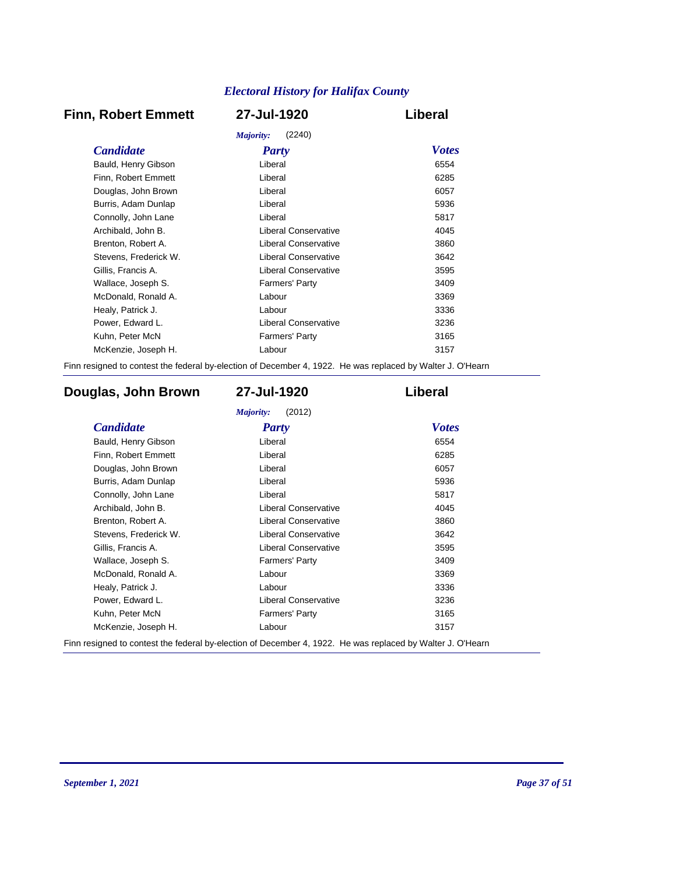## **Finn, Robert Emmett 27-Jul-1920 Liberal**

| (2240)<br>Majority:   |                             |              |  |
|-----------------------|-----------------------------|--------------|--|
| <b>Candidate</b>      | <b>Party</b>                | <b>Votes</b> |  |
| Bauld, Henry Gibson   | Liberal                     | 6554         |  |
| Finn, Robert Emmett   | Liberal                     | 6285         |  |
| Douglas, John Brown   | Liberal                     | 6057         |  |
| Burris, Adam Dunlap   | Liberal                     | 5936         |  |
| Connolly, John Lane   | Liberal                     | 5817         |  |
| Archibald, John B.    | Liberal Conservative        | 4045         |  |
| Brenton, Robert A.    | Liberal Conservative        | 3860         |  |
| Stevens, Frederick W. | Liberal Conservative        | 3642         |  |
| Gillis, Francis A.    | Liberal Conservative        | 3595         |  |
| Wallace, Joseph S.    | Farmers' Party              | 3409         |  |
| McDonald, Ronald A.   | Labour                      | 3369         |  |
| Healy, Patrick J.     | Labour                      | 3336         |  |
| Power, Edward L.      | <b>Liberal Conservative</b> | 3236         |  |
| Kuhn, Peter McN       | <b>Farmers' Party</b>       | 3165         |  |
| McKenzie, Joseph H.   | Labour                      | 3157         |  |
|                       |                             |              |  |

Finn resigned to contest the federal by-election of December 4, 1922. He was replaced by Walter J. O'Hearn

### **Douglas, John Brown 27-Jul-1920 Liberal**

| <b>Candidate</b>      | <b>Party</b>                | <b>Votes</b> |
|-----------------------|-----------------------------|--------------|
| Bauld, Henry Gibson   | Liberal                     | 6554         |
| Finn, Robert Emmett   | Liberal                     | 6285         |
| Douglas, John Brown   | Liberal                     | 6057         |
| Burris, Adam Dunlap   | Liberal                     | 5936         |
| Connolly, John Lane   | Liberal                     | 5817         |
| Archibald, John B.    | Liberal Conservative        | 4045         |
| Brenton, Robert A.    | <b>Liberal Conservative</b> | 3860         |
| Stevens, Frederick W. | <b>Liberal Conservative</b> | 3642         |
| Gillis, Francis A.    | <b>Liberal Conservative</b> | 3595         |
| Wallace, Joseph S.    | Farmers' Party              | 3409         |
| McDonald, Ronald A.   | Labour                      | 3369         |
| Healy, Patrick J.     | Labour                      | 3336         |
| Power, Edward L.      | Liberal Conservative        | 3236         |
| Kuhn, Peter McN       | <b>Farmers' Party</b>       | 3165         |
| McKenzie, Joseph H.   | Labour                      | 3157         |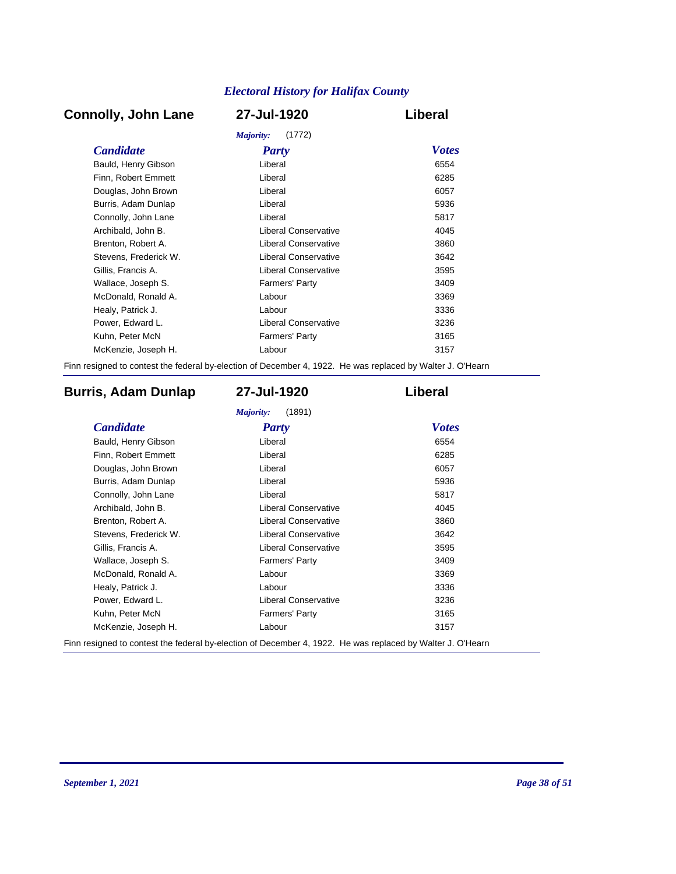## **Connolly, John Lane 27-Jul-1920 Liberal**

| Majority:<br>(1772)   |                             |              |  |
|-----------------------|-----------------------------|--------------|--|
| <b>Candidate</b>      | Party                       | <b>Votes</b> |  |
| Bauld, Henry Gibson   | Liberal                     | 6554         |  |
| Finn, Robert Emmett   | Liberal                     | 6285         |  |
| Douglas, John Brown   | Liberal                     | 6057         |  |
| Burris, Adam Dunlap   | Liberal                     | 5936         |  |
| Connolly, John Lane   | Liberal                     | 5817         |  |
| Archibald, John B.    | Liberal Conservative        | 4045         |  |
| Brenton, Robert A.    | <b>Liberal Conservative</b> | 3860         |  |
| Stevens, Frederick W. | <b>Liberal Conservative</b> | 3642         |  |
| Gillis, Francis A.    | Liberal Conservative        | 3595         |  |
| Wallace, Joseph S.    | <b>Farmers' Party</b>       | 3409         |  |
| McDonald, Ronald A.   | Labour                      | 3369         |  |
| Healy, Patrick J.     | Labour                      | 3336         |  |
| Power, Edward L.      | <b>Liberal Conservative</b> | 3236         |  |
| Kuhn, Peter McN       | <b>Farmers' Party</b>       | 3165         |  |
| McKenzie, Joseph H.   | Labour                      | 3157         |  |
|                       |                             |              |  |

Finn resigned to contest the federal by-election of December 4, 1922. He was replaced by Walter J. O'Hearn

### **Burris, Adam Dunlap 27-Jul-1920 Liberal**

| <b>Candidate</b>      | <b>Party</b>                | <b>Votes</b> |
|-----------------------|-----------------------------|--------------|
| Bauld, Henry Gibson   | Liberal                     | 6554         |
| Finn, Robert Emmett   | Liberal                     | 6285         |
| Douglas, John Brown   | Liberal                     | 6057         |
| Burris, Adam Dunlap   | Liberal                     | 5936         |
| Connolly, John Lane   | Liberal                     | 5817         |
| Archibald, John B.    | Liberal Conservative        | 4045         |
| Brenton, Robert A.    | <b>Liberal Conservative</b> | 3860         |
| Stevens, Frederick W. | <b>Liberal Conservative</b> | 3642         |
| Gillis, Francis A.    | <b>Liberal Conservative</b> | 3595         |
| Wallace, Joseph S.    | <b>Farmers' Party</b>       | 3409         |
| McDonald, Ronald A.   | Labour                      | 3369         |
| Healy, Patrick J.     | Labour                      | 3336         |
| Power, Edward L.      | <b>Liberal Conservative</b> | 3236         |
| Kuhn, Peter McN       | <b>Farmers' Party</b>       | 3165         |
| McKenzie, Joseph H.   | Labour                      | 3157         |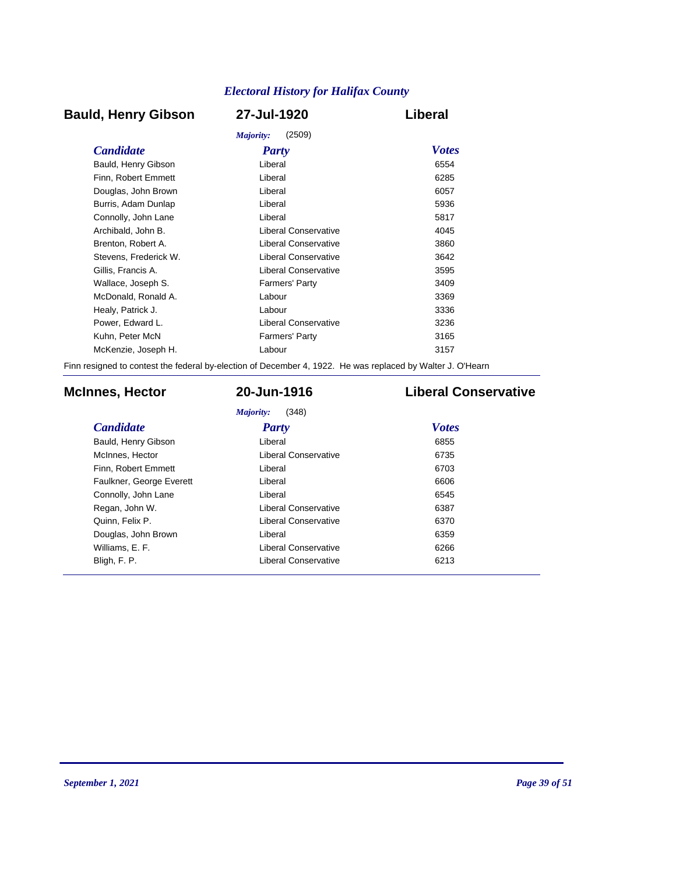### **Bauld, Henry Gibson 27-Jul-1920 Liberal**

|                       | (2509)<br>Majority:   |              |
|-----------------------|-----------------------|--------------|
| <b>Candidate</b>      | <b>Party</b>          | <b>Votes</b> |
| Bauld, Henry Gibson   | Liberal               | 6554         |
| Finn, Robert Emmett   | Liberal               | 6285         |
| Douglas, John Brown   | Liberal               | 6057         |
| Burris, Adam Dunlap   | Liberal               | 5936         |
| Connolly, John Lane   | Liberal               | 5817         |
| Archibald, John B.    | Liberal Conservative  | 4045         |
| Brenton, Robert A.    | Liberal Conservative  | 3860         |
| Stevens. Frederick W. | Liberal Conservative  | 3642         |
| Gillis, Francis A.    | Liberal Conservative  | 3595         |
| Wallace, Joseph S.    | <b>Farmers' Party</b> | 3409         |
| McDonald, Ronald A.   | Labour                | 3369         |
| Healy, Patrick J.     | Labour                | 3336         |
| Power, Edward L.      | Liberal Conservative  | 3236         |
| Kuhn, Peter McN       | <b>Farmers' Party</b> | 3165         |
| McKenzie, Joseph H.   | Labour                | 3157         |
|                       |                       |              |

Finn resigned to contest the federal by-election of December 4, 1922. He was replaced by Walter J. O'Hearn

### **McInnes, Hector 20-Jun-1916 Liberal Conservative**

*Majority:* (348)

| <b>Candidate</b>         | Party                       | <b>Votes</b> |
|--------------------------|-----------------------------|--------------|
| Bauld, Henry Gibson      | Liberal                     | 6855         |
| McInnes, Hector          | Liberal Conservative        | 6735         |
| Finn, Robert Emmett      | Liberal                     | 6703         |
| Faulkner, George Everett | Liberal                     | 6606         |
| Connolly, John Lane      | Liberal                     | 6545         |
| Regan, John W.           | <b>Liberal Conservative</b> | 6387         |
| Quinn, Felix P.          | Liberal Conservative        | 6370         |
| Douglas, John Brown      | Liberal                     | 6359         |
| Williams, E. F.          | Liberal Conservative        | 6266         |
| Bligh, F. P.             | <b>Liberal Conservative</b> | 6213         |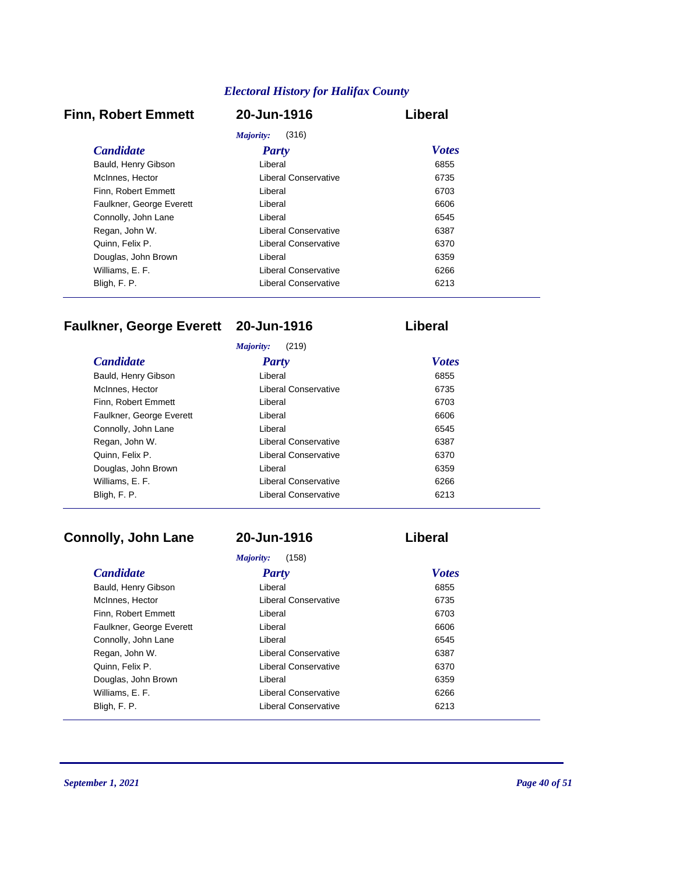#### **Finn, Robert Emmett 20-Jun-1916 Liberal**

| (316)<br>Majority:       |                      |              |
|--------------------------|----------------------|--------------|
| <b>Candidate</b>         | Party                | <b>Votes</b> |
| Bauld, Henry Gibson      | Liberal              | 6855         |
| McInnes, Hector          | Liberal Conservative | 6735         |
| Finn. Robert Emmett      | Liberal              | 6703         |
| Faulkner, George Everett | Liberal              | 6606         |
| Connolly, John Lane      | Liberal              | 6545         |
| Regan, John W.           | Liberal Conservative | 6387         |
| Quinn, Felix P.          | Liberal Conservative | 6370         |
| Douglas, John Brown      | Liberal              | 6359         |
| Williams, E. F.          | Liberal Conservative | 6266         |
| Bligh, F. P.             | Liberal Conservative | 6213         |

## **Faulkner, George Everett 20-Jun-1916 Liberal**

| (219)<br>Majority:       |                      |              |  |
|--------------------------|----------------------|--------------|--|
| <b>Candidate</b>         | <b>Party</b>         | <b>Votes</b> |  |
| Bauld, Henry Gibson      | Liberal              | 6855         |  |
| McInnes, Hector          | Liberal Conservative | 6735         |  |
| Finn. Robert Emmett      | Liberal              | 6703         |  |
| Faulkner, George Everett | Liberal              | 6606         |  |
| Connolly, John Lane      | Liberal              | 6545         |  |
| Regan, John W.           | Liberal Conservative | 6387         |  |
| Quinn, Felix P.          | Liberal Conservative | 6370         |  |
| Douglas, John Brown      | Liberal              | 6359         |  |
| Williams, E. F.          | Liberal Conservative | 6266         |  |
| Bligh, F. P.             | Liberal Conservative | 6213         |  |

### **Connolly, John Lane 20-Jun-1916 Liberal**

#### **Candidate** *Party**Votes*<br> **Bauld, Henry Gibson** *Liberal**Company**Company**Company**Company**Company**Company**Company**Company**Company**Company**Company**Company**Company**Company**Company**Company Majority:* (158) Bauld, Henry Gibson **Liberal** McInnes, Hector **Liberal Conservative 6735** Finn, Robert Emmett **Liberal** Liberal **COM** Liberal **6703** Faulkner, George Everett Liberal Liberal Communications and the Communications of the Communications of the Co Connolly, John Lane **Liberal** Liberal **Connolly**, John Lane **6545** Regan, John W. **Example 20 Fisheral Conservative** 6387 Quinn, Felix P. Liberal Conservative 6370 Douglas, John Brown **Example 2018** Liberal **COVID-100** Liberal **6359** Williams, E. F. Liberal Conservative 6266 Bligh, F. P. 6213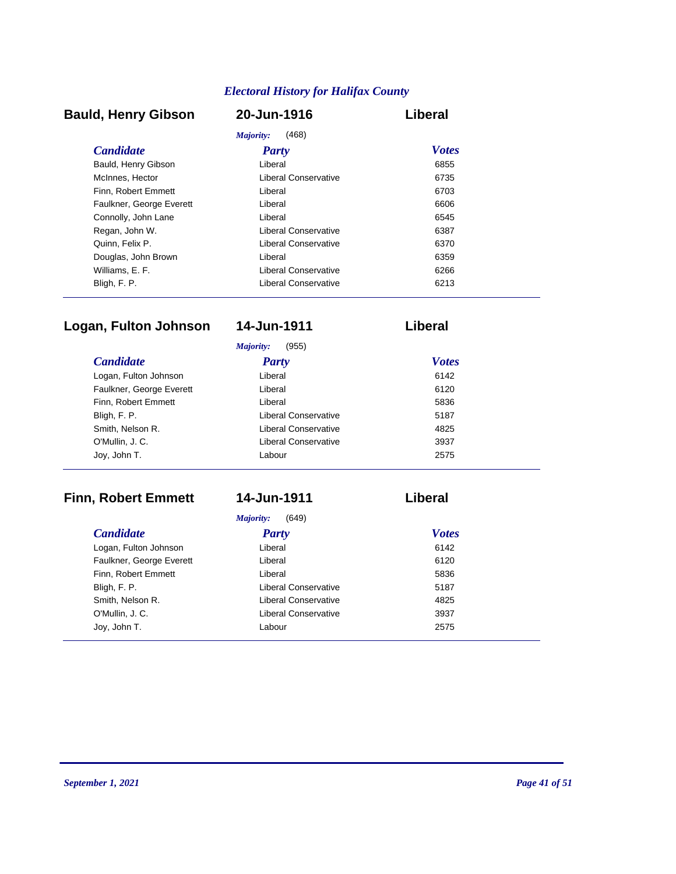## **Bauld, Henry Gibson 20-Jun-1916 Liberal**

|                          | (468)<br>Majority:   |              |  |
|--------------------------|----------------------|--------------|--|
| <i>Candidate</i>         | Party                | <b>Votes</b> |  |
| Bauld, Henry Gibson      | Liberal              | 6855         |  |
| McInnes, Hector          | Liberal Conservative | 6735         |  |
| Finn. Robert Emmett      | Liberal              | 6703         |  |
| Faulkner, George Everett | Liberal              | 6606         |  |
| Connolly, John Lane      | Liberal              | 6545         |  |
| Regan, John W.           | Liberal Conservative | 6387         |  |
| Quinn, Felix P.          | Liberal Conservative | 6370         |  |
| Douglas, John Brown      | Liberal              | 6359         |  |
| Williams, E. F.          | Liberal Conservative | 6266         |  |
| Bligh, F. P.             | Liberal Conservative | 6213         |  |

# **Logan, Fulton Johnson 14-Jun-1911 Liberal**

| (955)<br>Majority:       |                      |              |  |
|--------------------------|----------------------|--------------|--|
| <b>Candidate</b>         | <b>Party</b>         | <b>Votes</b> |  |
| Logan, Fulton Johnson    | Liberal              | 6142         |  |
| Faulkner, George Everett | Liberal              | 6120         |  |
| Finn, Robert Emmett      | Liberal              | 5836         |  |
| Bligh, F. P.             | Liberal Conservative | 5187         |  |
| Smith, Nelson R.         | Liberal Conservative | 4825         |  |
| O'Mullin, J. C.          | Liberal Conservative | 3937         |  |
| Joy, John T.             | Labour               | 2575         |  |

# **Finn, Robert Emmett 14-Jun-1911 Liberal**

*Majority:* (649)

| <b>Candidate</b>         | <b>Party</b>         | <b>Votes</b> |
|--------------------------|----------------------|--------------|
| Logan, Fulton Johnson    | Liberal              | 6142         |
| Faulkner, George Everett | Liberal              | 6120         |
| Finn, Robert Emmett      | Liberal              | 5836         |
| Bligh, F. P.             | Liberal Conservative | 5187         |
| Smith, Nelson R.         | Liberal Conservative | 4825         |
| O'Mullin, J. C.          | Liberal Conservative | 3937         |
| Joy, John T.             | Labour               | 2575         |
|                          |                      |              |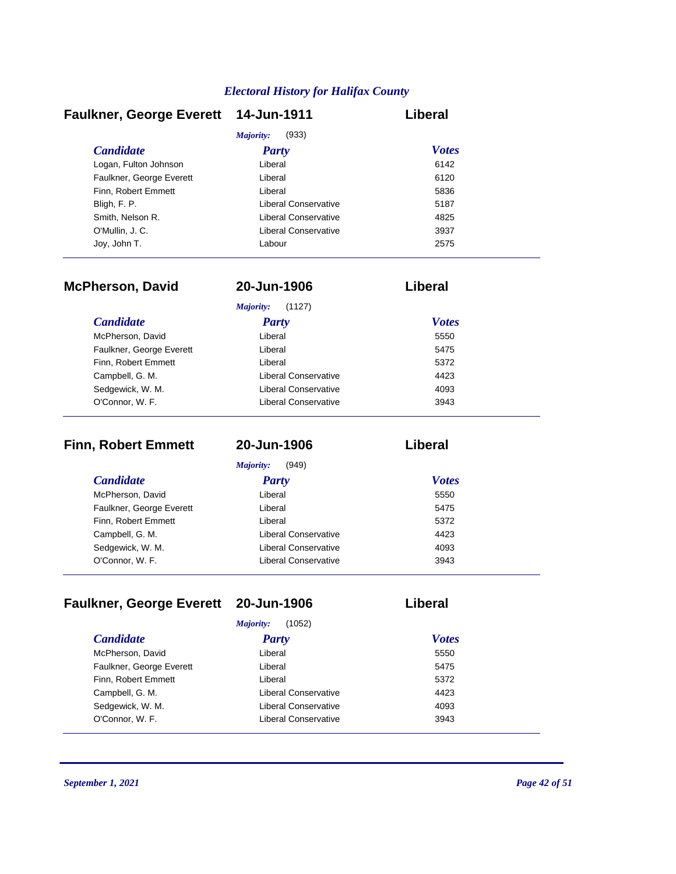| <b>Faulkner, George Everett</b> | 14-Jun-1911          | Liberal      |
|---------------------------------|----------------------|--------------|
|                                 | Majority:<br>(933)   |              |
| <b>Candidate</b>                | <b>Party</b>         | <b>Votes</b> |
| Logan, Fulton Johnson           | Liberal              | 6142         |
| Faulkner, George Everett        | Liberal              | 6120         |
| Finn. Robert Emmett             | Liberal              | 5836         |
| Bligh, F. P.                    | Liberal Conservative | 5187         |
| Smith, Nelson R.                | Liberal Conservative | 4825         |
| O'Mullin, J.C.                  | Liberal Conservative | 3937         |
| Joy, John T.                    | Labour               | 2575         |

| <b>McPherson, David</b>  | 20-Jun-1906          | Liberal      |  |
|--------------------------|----------------------|--------------|--|
|                          | Majority:<br>(1127)  |              |  |
| <i>Candidate</i>         | Party                | <b>Votes</b> |  |
| McPherson, David         | Liberal              | 5550         |  |
| Faulkner, George Everett | Liberal              | 5475         |  |
| Finn, Robert Emmett      | Liberal              | 5372         |  |
| Campbell, G. M.          | Liberal Conservative | 4423         |  |
| Sedgewick, W. M.         | Liberal Conservative | 4093         |  |
| O'Connor, W. F.          | Liberal Conservative | 3943         |  |

| <b>Finn, Robert Emmett</b> | 20-Jun-1906          | Liberal      |  |
|----------------------------|----------------------|--------------|--|
|                            | Majority:<br>(949)   |              |  |
| <i>Candidate</i>           | <b>Party</b>         | <b>Votes</b> |  |
| McPherson, David           | Liberal              | 5550         |  |
| Faulkner, George Everett   | Liberal              | 5475         |  |
| Finn, Robert Emmett        | Liberal              | 5372         |  |
| Campbell, G. M.            | Liberal Conservative | 4423         |  |
| Sedgewick, W. M.           | Liberal Conservative | 4093         |  |
| O'Connor, W. F.            | Liberal Conservative | 3943         |  |

# **Faulkner, George Everett 20-Jun-1906 Liberal**

| (1052)<br>Majority:      |                             |              |
|--------------------------|-----------------------------|--------------|
| <b>Candidate</b>         | <b>Party</b>                | <b>Votes</b> |
| McPherson, David         | Liberal                     | 5550         |
| Faulkner, George Everett | Liberal                     | 5475         |
| Finn, Robert Emmett      | Liberal                     | 5372         |
| Campbell, G. M.          | <b>Liberal Conservative</b> | 4423         |
| Sedgewick, W. M.         | <b>Liberal Conservative</b> | 4093         |
| O'Connor, W. F.          | Liberal Conservative        | 3943         |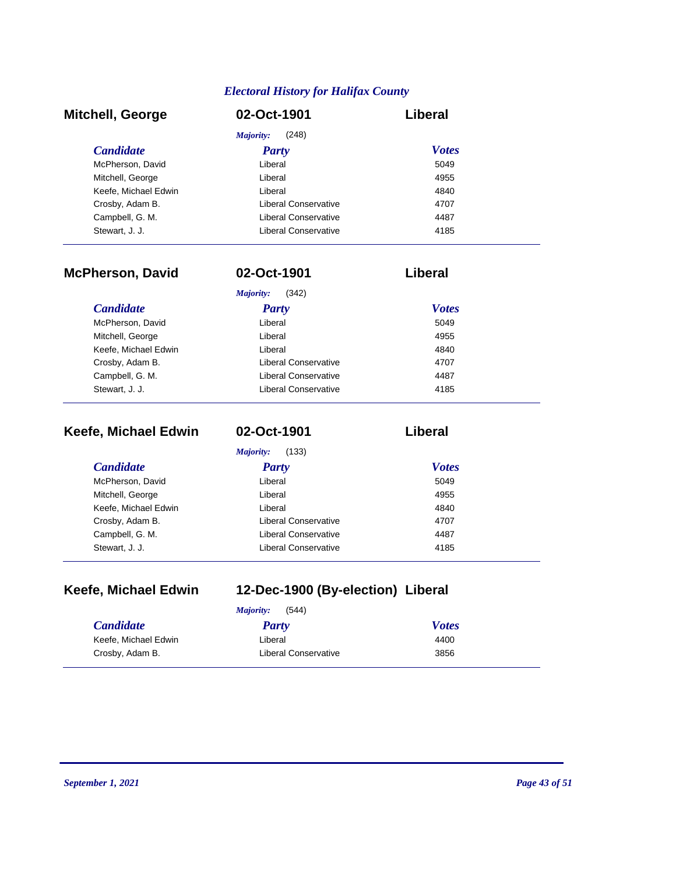| <b>Mitchell, George</b> | 02-Oct-1901          | Liberal      |
|-------------------------|----------------------|--------------|
|                         | (248)<br>Majority:   |              |
| <b>Candidate</b>        | <b>Party</b>         | <b>Votes</b> |
| McPherson, David        | Liberal              | 5049         |
| Mitchell, George        | Liberal              | 4955         |
| Keefe, Michael Edwin    | Liberal              | 4840         |
| Crosby, Adam B.         | Liberal Conservative | 4707         |
| Campbell, G. M.         | Liberal Conservative | 4487         |
| Stewart, J. J.          | Liberal Conservative | 4185         |

| <b>McPherson, David</b> | 02-Oct-1901          | Liberal      |
|-------------------------|----------------------|--------------|
|                         | Majority:<br>(342)   |              |
| <b>Candidate</b>        | Party                | <b>Votes</b> |
| McPherson, David        | Liberal              | 5049         |
| Mitchell, George        | Liberal              | 4955         |
| Keefe, Michael Edwin    | Liberal              | 4840         |
| Crosby, Adam B.         | Liberal Conservative | 4707         |
| Campbell, G. M.         | Liberal Conservative | 4487         |
| Stewart, J. J.          | Liberal Conservative | 4185         |

| Keefe, Michael Edwin | 02-Oct-1901          | Liberal      |
|----------------------|----------------------|--------------|
|                      | Majority:<br>(133)   |              |
| <i>Candidate</i>     | <b>Party</b>         | <b>Votes</b> |
| McPherson, David     | Liberal              | 5049         |
| Mitchell, George     | Liberal              | 4955         |
| Keefe, Michael Edwin | Liberal              | 4840         |
| Crosby, Adam B.      | Liberal Conservative | 4707         |
| Campbell, G. M.      | Liberal Conservative | 4487         |
| Stewart, J. J.       | Liberal Conservative | 4185         |

# **Keefe, Michael Edwin 12-Dec-1900 (By-election) Liberal**

|                      | (544)<br>Majority:   |              |
|----------------------|----------------------|--------------|
| <b>Candidate</b>     | Party                | <b>Votes</b> |
| Keefe, Michael Edwin | Liberal              | 4400         |
| Crosby, Adam B.      | Liberal Conservative | 3856         |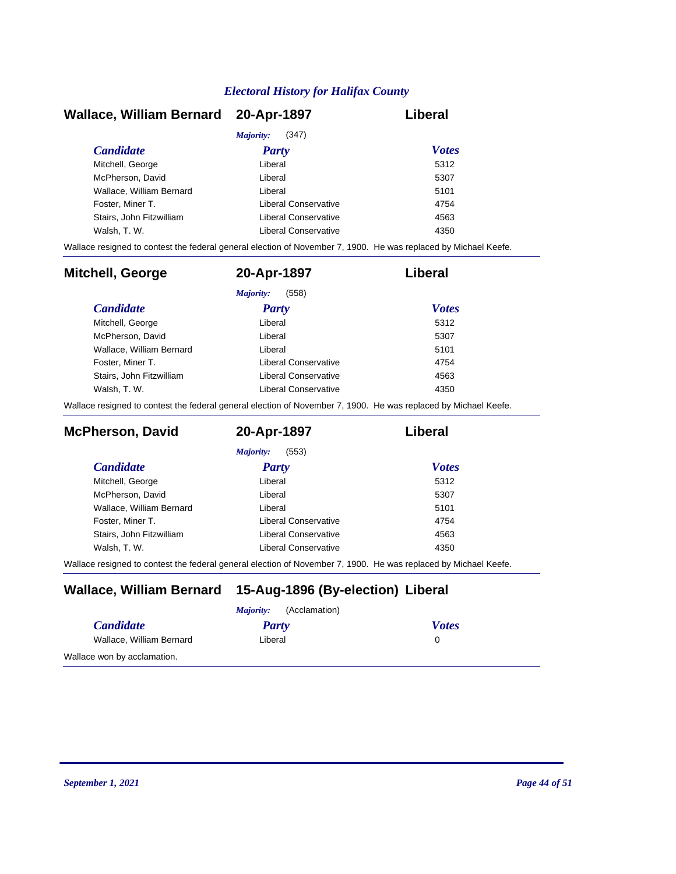| Wallace, William Bernard 20-Apr-1897 |                      | Liberal      |
|--------------------------------------|----------------------|--------------|
|                                      | (347)<br>Majority:   |              |
| <b>Candidate</b>                     | Party                | <b>Votes</b> |
| Mitchell, George                     | Liberal              | 5312         |
| McPherson, David                     | Liberal              | 5307         |
| Wallace, William Bernard             | Liberal              | 5101         |
| Foster, Miner T.                     | Liberal Conservative | 4754         |
| Stairs. John Fitzwilliam             | Liberal Conservative | 4563         |
| Walsh, T. W.                         | Liberal Conservative | 4350         |

Wallace resigned to contest the federal general election of November 7, 1900. He was replaced by Michael Keefe.

| <b>Mitchell, George</b>  | 20-Apr-1897          | Liberal      |
|--------------------------|----------------------|--------------|
|                          | (558)<br>Majority:   |              |
| <b>Candidate</b>         | <b>Party</b>         | <b>Votes</b> |
| Mitchell, George         | Liberal              | 5312         |
| McPherson, David         | Liberal              | 5307         |
| Wallace, William Bernard | Liberal              | 5101         |
| Foster, Miner T.         | Liberal Conservative | 4754         |
| Stairs, John Fitzwilliam | Liberal Conservative | 4563         |
| Walsh, T. W.             | Liberal Conservative | 4350         |

Wallace resigned to contest the federal general election of November 7, 1900. He was replaced by Michael Keefe.

| <b>McPherson, David</b>  | 20-Apr-1897          | Liberal      |
|--------------------------|----------------------|--------------|
|                          | (553)<br>Majority:   |              |
| <i>Candidate</i>         | Party                | <b>Votes</b> |
| Mitchell, George         | Liberal              | 5312         |
| McPherson, David         | Liberal              | 5307         |
| Wallace, William Bernard | Liberal              | 5101         |
| Foster, Miner T.         | Liberal Conservative | 4754         |
| Stairs, John Fitzwilliam | Liberal Conservative | 4563         |
| Walsh, T. W.             | Liberal Conservative | 4350         |

Wallace resigned to contest the federal general election of November 7, 1900. He was replaced by Michael Keefe.

### **Wallace, William Bernard 15-Aug-1896 (By-election) Liberal**

|                             | (Acclamation)<br><i>Majority:</i> |              |
|-----------------------------|-----------------------------------|--------------|
| <i>Candidate</i>            | Party                             | <b>Votes</b> |
| Wallace, William Bernard    | Liberal                           |              |
| Wallace won by acclamation. |                                   |              |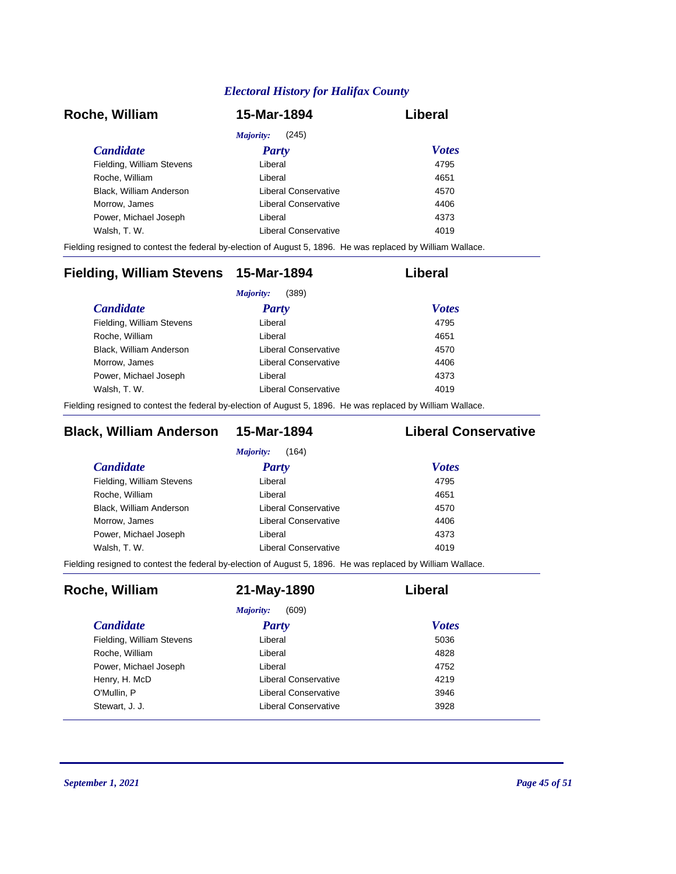| Roche, William            | 15-Mar-1894          | Liberal      |
|---------------------------|----------------------|--------------|
|                           | (245)<br>Majority:   |              |
| <i>Candidate</i>          | <b>Party</b>         | <b>Votes</b> |
| Fielding, William Stevens | Liberal              | 4795         |
| Roche, William            | Liberal              | 4651         |
| Black, William Anderson   | Liberal Conservative | 4570         |
| Morrow, James             | Liberal Conservative | 4406         |
| Power, Michael Joseph     | Liberal              | 4373         |
| Walsh, T. W.              | Liberal Conservative | 4019         |

Fielding resigned to contest the federal by-election of August 5, 1896. He was replaced by William Wallace.

| Fielding, William Stevens 15-Mar-1894 |                      | Liberal      |
|---------------------------------------|----------------------|--------------|
|                                       | (389)<br>Majority:   |              |
| <i>Candidate</i>                      | Party                | <b>Votes</b> |
| Fielding, William Stevens             | Liberal              | 4795         |
| Roche, William                        | Liberal              | 4651         |
| Black, William Anderson               | Liberal Conservative | 4570         |
| Morrow, James                         | Liberal Conservative | 4406         |
| Power, Michael Joseph                 | Liberal              | 4373         |
| Walsh, T. W.                          | Liberal Conservative | 4019         |
|                                       |                      |              |

Fielding resigned to contest the federal by-election of August 5, 1896. He was replaced by William Wallace.

### **Black, William Anderson 15-Mar-1894 Liberal Conservative**

| Liberal              | 4795 |                              |
|----------------------|------|------------------------------|
| Liberal              | 4651 |                              |
| Liberal Conservative | 4570 |                              |
| Liberal Conservative | 4406 |                              |
| Liberal              | 4373 |                              |
| Liberal Conservative | 4019 |                              |
|                      |      | <b>Votes</b><br><b>Party</b> |

Fielding resigned to contest the federal by-election of August 5, 1896. He was replaced by William Wallace.

| Roche, William            | 21-May-1890          | Liberal      |
|---------------------------|----------------------|--------------|
|                           | (609)<br>Majority:   |              |
| <i>Candidate</i>          | <b>Party</b>         | <b>Votes</b> |
| Fielding, William Stevens | Liberal              | 5036         |
| Roche, William            | Liberal              | 4828         |
| Power, Michael Joseph     | Liberal              | 4752         |
| Henry, H. McD             | Liberal Conservative | 4219         |
| O'Mullin, P               | Liberal Conservative | 3946         |
| Stewart, J. J.            | Liberal Conservative | 3928         |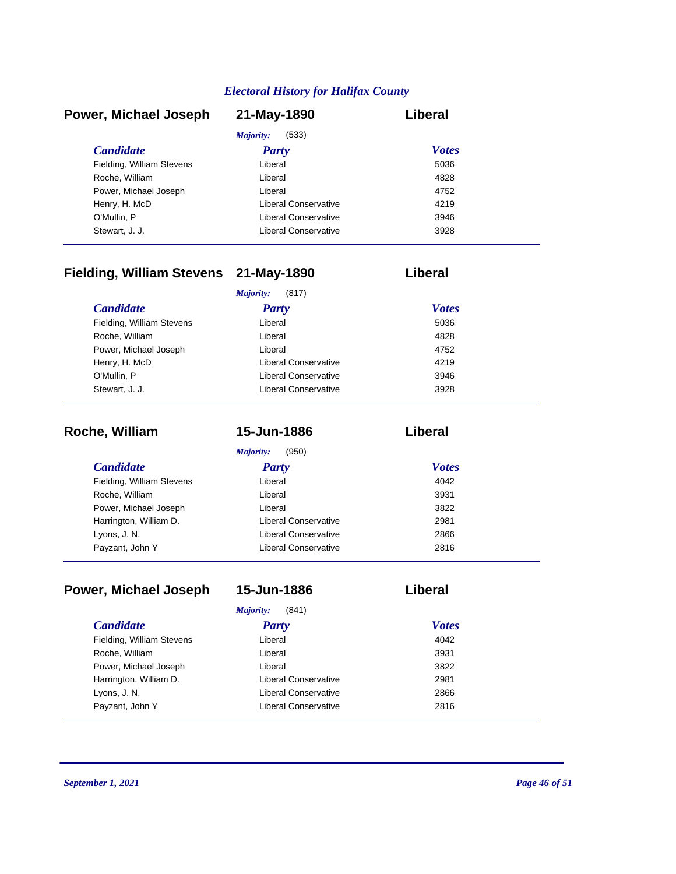| Power, Michael Joseph     | 21-May-1890          | Liberal      |
|---------------------------|----------------------|--------------|
|                           | (533)<br>Majority:   |              |
| <b>Candidate</b>          | <b>Party</b>         | <b>Votes</b> |
| Fielding, William Stevens | Liberal              | 5036         |
| Roche, William            | Liberal              | 4828         |
| Power, Michael Joseph     | Liberal              | 4752         |
| Henry, H. McD             | Liberal Conservative | 4219         |
| O'Mullin, P               | Liberal Conservative | 3946         |
| Stewart, J. J.            | Liberal Conservative | 3928         |

# **Fielding, William Stevens 21-May-1890 Liberal**

|                           | (817)<br>Majority:   |              |
|---------------------------|----------------------|--------------|
| <b>Candidate</b>          | <b>Party</b>         | <b>Votes</b> |
| Fielding, William Stevens | Liberal              | 5036         |
| Roche, William            | Liberal              | 4828         |
| Power, Michael Joseph     | Liberal              | 4752         |
| Henry, H. McD             | Liberal Conservative | 4219         |
| O'Mullin, P               | Liberal Conservative | 3946         |
| Stewart, J. J.            | Liberal Conservative | 3928         |

| Roche, William            | 15-Jun-1886          | Liberal      |
|---------------------------|----------------------|--------------|
|                           | Majority:<br>(950)   |              |
| <b>Candidate</b>          | <b>Party</b>         | <b>Votes</b> |
| Fielding, William Stevens | Liberal              | 4042         |
| Roche, William            | Liberal              | 3931         |
| Power, Michael Joseph     | Liberal              | 3822         |
| Harrington, William D.    | Liberal Conservative | 2981         |
| Lyons, J. N.              | Liberal Conservative | 2866         |
| Payzant, John Y           | Liberal Conservative | 2816         |

| Power, Michael Joseph     | 15-Jun-1886                 | Liberal      |
|---------------------------|-----------------------------|--------------|
|                           | Majority:<br>(841)          |              |
| <i>Candidate</i>          | Party                       | <b>Votes</b> |
| Fielding, William Stevens | Liberal                     | 4042         |
| Roche, William            | Liberal                     | 3931         |
| Power, Michael Joseph     | Liberal                     | 3822         |
| Harrington, William D.    | Liberal Conservative        | 2981         |
| Lyons, J. N.              | <b>Liberal Conservative</b> | 2866         |
| Payzant, John Y           | Liberal Conservative        | 2816         |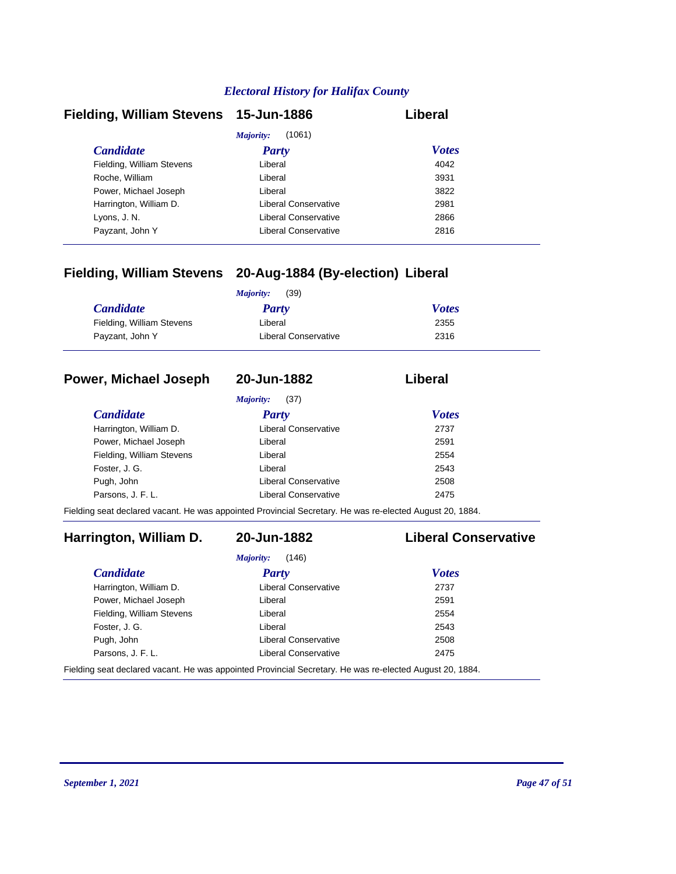| Fielding, William Stevens 15-Jun-1886 |                      | Liberal      |
|---------------------------------------|----------------------|--------------|
|                                       | (1061)<br>Majority:  |              |
| <b>Candidate</b>                      | <b>Party</b>         | <b>Votes</b> |
| Fielding, William Stevens             | Liberal              | 4042         |
| Roche, William                        | Liberal              | 3931         |
| Power, Michael Joseph                 | Liberal              | 3822         |
| Harrington, William D.                | Liberal Conservative | 2981         |
| Lyons, J. N.                          | Liberal Conservative | 2866         |
| Payzant, John Y                       | Liberal Conservative | 2816         |

### **Fielding, William Stevens 20-Aug-1884 (By-election) Liberal**

|                           | (39)<br>Majority:    |              |
|---------------------------|----------------------|--------------|
| <i>Candidate</i>          | Party                | <b>Votes</b> |
| Fielding, William Stevens | Liberal              | 2355         |
| Payzant, John Y           | Liberal Conservative | 2316         |

#### **Power, Michael Joseph 20-Jun-1882 Liberal**

*Majority:* (37)

| <i>Candidate</i>          | <b>Party</b>         | <b>Votes</b> |
|---------------------------|----------------------|--------------|
| Harrington, William D.    | Liberal Conservative | 2737         |
| Power, Michael Joseph     | Liberal              | 2591         |
| Fielding, William Stevens | Liberal              | 2554         |
| Foster, J. G.             | Liberal              | 2543         |
| Pugh, John                | Liberal Conservative | 2508         |
| Parsons, J. F. L.         | Liberal Conservative | 2475         |

Fielding seat declared vacant. He was appointed Provincial Secretary. He was re-elected August 20, 1884.

### **Harrington, William D. 20-Jun-1882 Liberal Conservative**

#### *Candidate Party Votes Majority:* (146) Harrington, William D. Conservative Liberal Conservative 2737 Power, Michael Joseph **Liberal** Liberal 2591 Fielding, William Stevens **Liberal** Liberal 2554 Foster, J. G. 2543

Parsons, J. F. L. Christian Liberal Conservative 2475 Fielding seat declared vacant. He was appointed Provincial Secretary. He was re-elected August 20, 1884.

Pugh, John 2508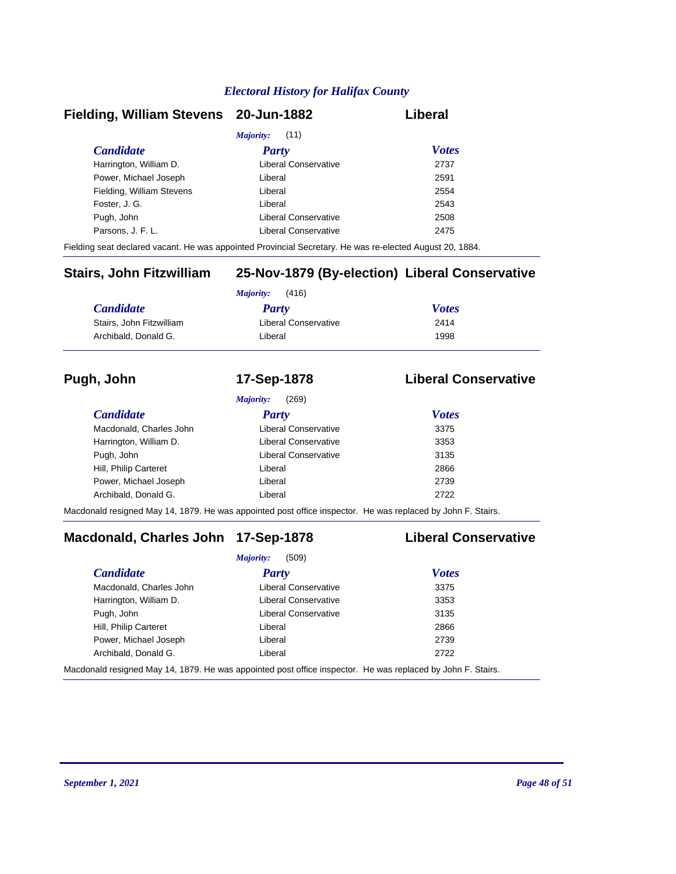#### **Fielding, William Stevens 20-Jun-1882 Liberal**

| <i>Majority:</i> (11)     |                      |              |  |
|---------------------------|----------------------|--------------|--|
| <b>Candidate</b>          | <b>Party</b>         | <b>Votes</b> |  |
| Harrington, William D.    | Liberal Conservative | 2737         |  |
| Power, Michael Joseph     | Liberal              | 2591         |  |
| Fielding, William Stevens | Liberal              | 2554         |  |
| Foster, J. G.             | Liberal              | 2543         |  |
| Pugh, John                | Liberal Conservative | 2508         |  |
| Parsons, J. F. L.         | Liberal Conservative | 2475         |  |
|                           |                      |              |  |

Fielding seat declared vacant. He was appointed Provincial Secretary. He was re-elected August 20, 1884.

### **Stairs, John Fitzwilliam 25-Nov-1879 (By-election) Liberal Conservative**

|                          | (416)<br>Majority:   |              |  |
|--------------------------|----------------------|--------------|--|
| <b>Candidate</b>         | <b>Party</b>         | <b>Votes</b> |  |
| Stairs, John Fitzwilliam | Liberal Conservative | 2414         |  |
| Archibald, Donald G.     | Liberal              | 1998         |  |

#### **Pugh, John 17-Sep-1878 Liberal Conservative**

|                         | (269)<br>Majority:          |              |  |
|-------------------------|-----------------------------|--------------|--|
| <i>Candidate</i>        | <b>Party</b>                | <b>Votes</b> |  |
| Macdonald, Charles John | Liberal Conservative        | 3375         |  |
| Harrington, William D.  | Liberal Conservative        | 3353         |  |
| Pugh, John              | <b>Liberal Conservative</b> | 3135         |  |
| Hill, Philip Carteret   | Liberal                     | 2866         |  |
| Power, Michael Joseph   | Liberal                     | 2739         |  |
| Archibald, Donald G.    | Liberal                     | 2722         |  |
|                         |                             |              |  |

Macdonald resigned May 14, 1879. He was appointed post office inspector. He was replaced by John F. Stairs.

### **Macdonald, Charles John 17-Sep-1878 Liberal Conservative**

|                         | (509)<br>Majority:                                                                                                                  |              |  |
|-------------------------|-------------------------------------------------------------------------------------------------------------------------------------|--------------|--|
| <b>Candidate</b>        | Party                                                                                                                               | <b>Votes</b> |  |
| Macdonald, Charles John | <b>Liberal Conservative</b>                                                                                                         | 3375         |  |
| Harrington, William D.  | Liberal Conservative                                                                                                                | 3353         |  |
| Pugh, John              | Liberal Conservative                                                                                                                | 3135         |  |
| Hill, Philip Carteret   | Liberal                                                                                                                             | 2866         |  |
| Power, Michael Joseph   | Liberal                                                                                                                             | 2739         |  |
| Archibald, Donald G.    | Liberal                                                                                                                             | 2722         |  |
|                         | المعادلة التي المعادلة المتحدث المسترد وجود المستخدمات المعادلة المعادلة المعادلة المستخدمة المستخدمة المستخدمة المستخدمة المستخدمة |              |  |

Macdonald resigned May 14, 1879. He was appointed post office inspector. He was replaced by John F. Stairs.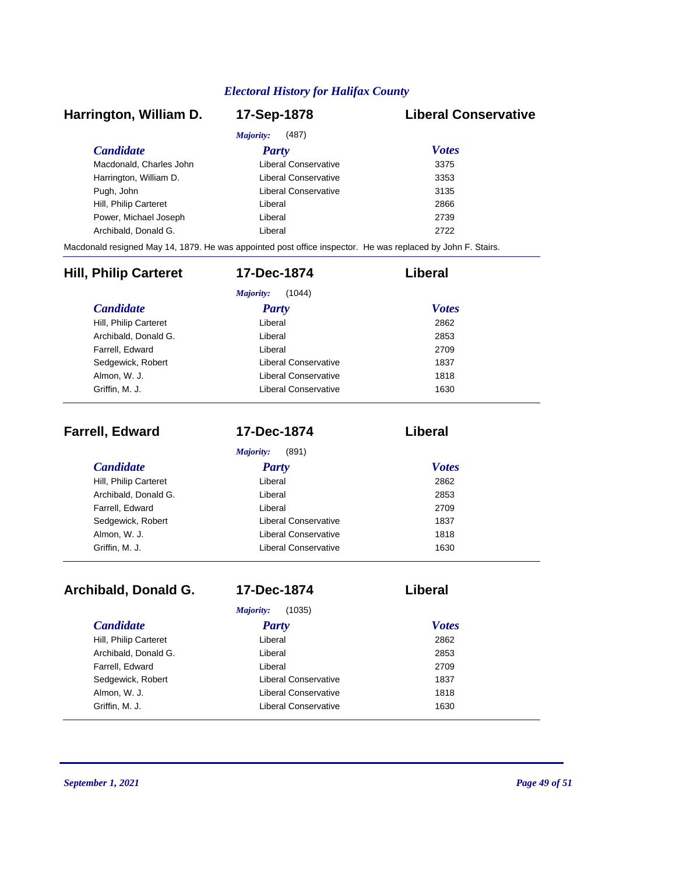### *Candidate Party Votes* **Harrington, William D. 17-Sep-1878 Liberal Conservative** *Majority:* (487) Macdonald, Charles John Liberal Conservative 3375 Harrington, William D. Ciberal Conservative 3353 Pugh, John **Disk and American Conservative** 3135 Hill, Philip Carteret **Liberal** Liberal 2866 Power, Michael Joseph Liberal Liberal 2739 Archibald, Donald G. Channel Controller Liberal 2722 2722 Macdonald resigned May 14, 1879. He was appointed post office inspector. He was replaced by John F. Stairs. *Candidate Party Votes*<br> **Party** *Votes Party Votes*<br> **Party** *Party Party Party Party Party Party* **Hill, Philip Carteret 17-Dec-1874 Liberal** *Majority:* (1044) **Hill, Philip Carteret**

| i iiii, i iiiiip valleiel | Liveral              | LUUL |
|---------------------------|----------------------|------|
| Archibald, Donald G.      | Liberal              | 2853 |
| Farrell, Edward           | Liberal              | 2709 |
| Sedgewick, Robert         | Liberal Conservative | 1837 |
| Almon, W. J.              | Liberal Conservative | 1818 |
| Griffin. M. J.            | Liberal Conservative | 1630 |
|                           |                      |      |

| <b>Farrell, Edward</b> | 17-Dec-1874                 | Liberal      |
|------------------------|-----------------------------|--------------|
|                        | (891)<br>Majority:          |              |
| <b>Candidate</b>       | <b>Party</b>                | <b>Votes</b> |
| Hill, Philip Carteret  | Liberal                     | 2862         |
| Archibald, Donald G.   | Liberal                     | 2853         |
| Farrell, Edward        | Liberal                     | 2709         |
| Sedgewick, Robert      | Liberal Conservative        | 1837         |
| Almon, W. J.           | <b>Liberal Conservative</b> | 1818         |
| Griffin, M. J.         | Liberal Conservative        | 1630         |

| Archibald, Donald G.  | 17-Dec-1874          | Liberal      |  |
|-----------------------|----------------------|--------------|--|
|                       | (1035)<br>Majority:  |              |  |
| <i>Candidate</i>      | Party                | <b>Votes</b> |  |
| Hill, Philip Carteret | Liberal              | 2862         |  |
| Archibald, Donald G.  | Liberal              | 2853         |  |
| Farrell, Edward       | Liberal              | 2709         |  |
| Sedgewick, Robert     | Liberal Conservative | 1837         |  |
| Almon, W. J.          | Liberal Conservative | 1818         |  |
| Griffin, M. J.        | Liberal Conservative | 1630         |  |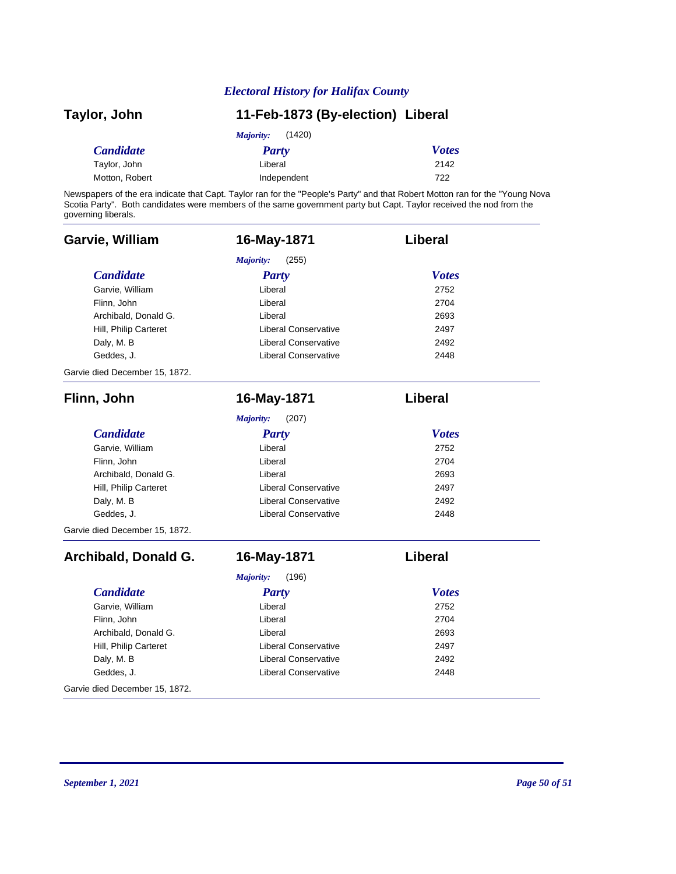| Taylor, John     | 11-Feb-1873 (By-election) Liberal |              |
|------------------|-----------------------------------|--------------|
|                  | (1420)<br>Majority:               |              |
| <b>Candidate</b> | Party                             | <b>Votes</b> |
| Taylor, John     | Liberal                           | 2142         |
| Motton, Robert   | Independent                       | 722          |

Newspapers of the era indicate that Capt. Taylor ran for the "People's Party" and that Robert Motton ran for the "Young Nova Scotia Party". Both candidates were members of the same government party but Capt. Taylor received the nod from the governing liberals.

| Garvie, William                | 16-May-1871                 | Liberal        |
|--------------------------------|-----------------------------|----------------|
|                                | <b>Majority:</b><br>(255)   |                |
| <b>Candidate</b>               | <b>Party</b>                | <b>Votes</b>   |
| Garvie, William                | Liberal                     | 2752           |
| Flinn, John                    | Liberal                     | 2704           |
| Archibald, Donald G.           | Liberal                     | 2693           |
| Hill, Philip Carteret          | <b>Liberal Conservative</b> | 2497           |
| Daly, M. B                     | <b>Liberal Conservative</b> | 2492           |
| Geddes, J.                     | <b>Liberal Conservative</b> | 2448           |
| Garvie died December 15, 1872. |                             |                |
| Flinn, John                    | 16-May-1871                 | <b>Liberal</b> |
|                                | Majority:<br>(207)          |                |
| <b>Candidate</b>               | <b>Party</b>                | <b>Votes</b>   |
| Garvie, William                | Liberal                     | 2752           |
| Flinn, John                    | Liberal                     | 2704           |
| Archibald, Donald G.           | Liberal                     | 2693           |
| Hill, Philip Carteret          | <b>Liberal Conservative</b> | 2497           |
| Daly, M. B                     | <b>Liberal Conservative</b> | 2492           |
| Geddes, J.                     | <b>Liberal Conservative</b> | 2448           |
| Garvie died December 15, 1872. |                             |                |
| Archibald, Donald G.           | 16-May-1871                 | Liberal        |
|                                | Majority:<br>(196)          |                |
| <b>Candidate</b>               | <b>Party</b>                | <b>Votes</b>   |
| Garvie, William                | Liberal                     | 2752           |
| Flinn, John                    | Liberal                     | 2704           |
| Archibald, Donald G.           | Liberal                     | 2693           |
| Hill, Philip Carteret          | <b>Liberal Conservative</b> | 2497           |
| Daly, M. B                     | <b>Liberal Conservative</b> | 2492           |
| Geddes, J.                     | <b>Liberal Conservative</b> | 2448           |
| Garvie died December 15, 1872. |                             |                |